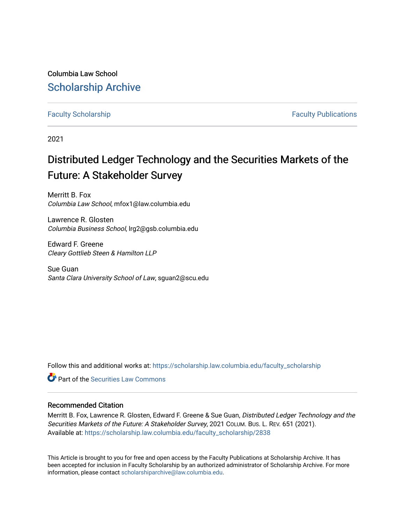Columbia Law School [Scholarship Archive](https://scholarship.law.columbia.edu/) 

[Faculty Scholarship](https://scholarship.law.columbia.edu/faculty_scholarship) **Faculty Scholarship Faculty Publications** 

2021

# Distributed Ledger Technology and the Securities Markets of the Future: A Stakeholder Survey

Merritt B. Fox Columbia Law School, mfox1@law.columbia.edu

Lawrence R. Glosten Columbia Business School, lrg2@gsb.columbia.edu

Edward F. Greene Cleary Gottlieb Steen & Hamilton LLP

Sue Guan Santa Clara University School of Law, sguan2@scu.edu

Follow this and additional works at: [https://scholarship.law.columbia.edu/faculty\\_scholarship](https://scholarship.law.columbia.edu/faculty_scholarship?utm_source=scholarship.law.columbia.edu%2Ffaculty_scholarship%2F2838&utm_medium=PDF&utm_campaign=PDFCoverPages)

**C** Part of the Securities Law Commons

## Recommended Citation

Merritt B. Fox, Lawrence R. Glosten, Edward F. Greene & Sue Guan, Distributed Ledger Technology and the Securities Markets of the Future: A Stakeholder Survey, 2021 COLUM. BUS. L. REV. 651 (2021). Available at: [https://scholarship.law.columbia.edu/faculty\\_scholarship/2838](https://scholarship.law.columbia.edu/faculty_scholarship/2838?utm_source=scholarship.law.columbia.edu%2Ffaculty_scholarship%2F2838&utm_medium=PDF&utm_campaign=PDFCoverPages)

This Article is brought to you for free and open access by the Faculty Publications at Scholarship Archive. It has been accepted for inclusion in Faculty Scholarship by an authorized administrator of Scholarship Archive. For more information, please contact [scholarshiparchive@law.columbia.edu.](mailto:scholarshiparchive@law.columbia.edu)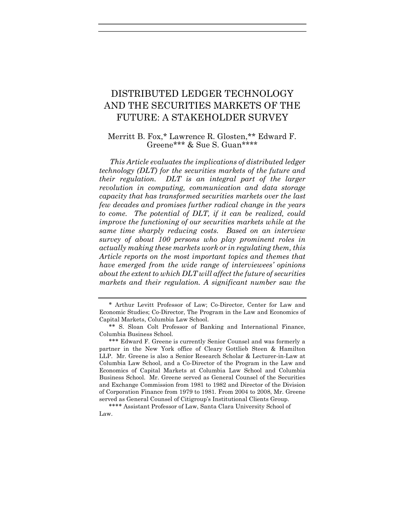## DISTRIBUTED LEDGER TECHNOLOGY AND THE SECURITIES MARKETS OF THE FUTURE: A STAKEHOLDER SURVEY

## Merritt B. Fox,\* Lawrence R. Glosten,\*\* Edward F. Greene\*\*\* & Sue S. Guan\*\*\*\*

This Article evaluates the implications of distributed ledger technology (DLT) for the securities markets of the future and their regulation. DLT is an integral part of the larger revolution in computing, communication and data storage capacity that has transformed securities markets over the last few decades and promises further radical change in the years to come. The potential of DLT, if it can be realized, could improve the functioning of our securities markets while at the same time sharply reducing costs. Based on an interview survey of about 100 persons who play prominent roles in actually making these markets work or in regulating them, this Article reports on the most important topics and themes that have emerged from the wide range of interviewees' opinions about the extent to which DLT will affect the future of securities markets and their regulation. A significant number saw the

<sup>\*</sup> Arthur Levitt Professor of Law; Co-Director, Center for Law and Economic Studies; Co-Director, The Program in the Law and Economics of Capital Markets, Columbia Law School.

<sup>\*\*</sup> S. Sloan Colt Professor of Banking and International Finance, Columbia Business School.

<sup>\*\*\*</sup> Edward F. Greene is currently Senior Counsel and was formerly a partner in the New York office of Cleary Gottlieb Steen & Hamilton LLP. Mr. Greene is also a Senior Research Scholar & Lecturer-in-Law at Columbia Law School, and a Co-Director of the Program in the Law and Economics of Capital Markets at Columbia Law School and Columbia Business School. Mr. Greene served as General Counsel of the Securities and Exchange Commission from 1981 to 1982 and Director of the Division of Corporation Finance from 1979 to 1981. From 2004 to 2008, Mr. Greene served as General Counsel of Citigroup's Institutional Clients Group.

<sup>\*\*\*\*</sup> Assistant Professor of Law, Santa Clara University School of Law.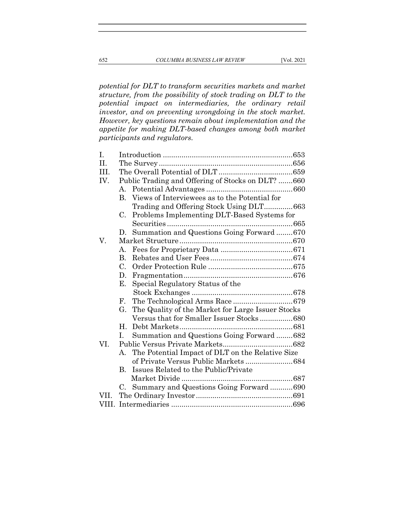potential for DLT to transform securities markets and market structure, from the possibility of stock trading on DLT to the potential impact on intermediaries, the ordinary retail investor, and on preventing wrongdoing in the stock market. However, key questions remain about implementation and the appetite for making DLT-based changes among both market participants and regulators.

| I.    |             |                                                   |  |
|-------|-------------|---------------------------------------------------|--|
| H.    |             |                                                   |  |
| TTT.  |             |                                                   |  |
| IV.   |             | Public Trading and Offering of Stocks on DLT? 660 |  |
|       | $A_{\cdot}$ |                                                   |  |
|       | B.          | Views of Interviewees as to the Potential for     |  |
|       |             | Trading and Offering Stock Using DLT663           |  |
|       | C.          | Problems Implementing DLT-Based Systems for       |  |
|       |             |                                                   |  |
|       | $D_{\rm c}$ | Summation and Questions Going Forward670          |  |
| V.    |             |                                                   |  |
|       | A.          |                                                   |  |
|       | <b>B.</b>   |                                                   |  |
|       | $C_{\cdot}$ |                                                   |  |
|       | D.          |                                                   |  |
|       | Е.          | Special Regulatory Status of the                  |  |
|       |             |                                                   |  |
|       | F.          |                                                   |  |
|       | G.          | The Quality of the Market for Large Issuer Stocks |  |
|       |             | Versus that for Smaller Issuer Stocks680          |  |
|       | Н.          |                                                   |  |
|       | L.          | Summation and Questions Going Forward  682        |  |
| VI.   |             |                                                   |  |
|       | $A_{-}$     | The Potential Impact of DLT on the Relative Size  |  |
|       |             | of Private Versus Public Markets684               |  |
|       | В.          | Issues Related to the Public/Private              |  |
|       |             |                                                   |  |
|       | C.          | Summary and Questions Going Forward690            |  |
| VH.   |             |                                                   |  |
| VIII. |             |                                                   |  |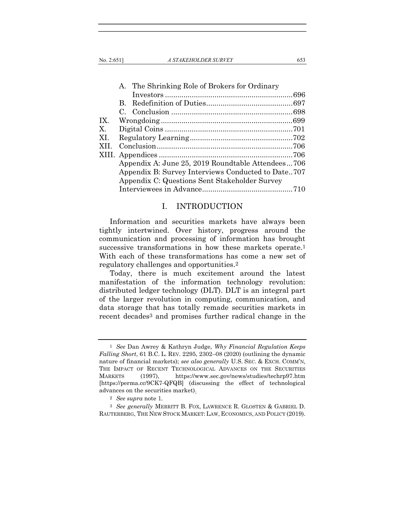|       | A. The Shrinking Role of Brokers for Ordinary |                                                    |  |  |
|-------|-----------------------------------------------|----------------------------------------------------|--|--|
|       |                                               |                                                    |  |  |
|       | $B_{\perp}$                                   |                                                    |  |  |
|       |                                               |                                                    |  |  |
| IX.   |                                               |                                                    |  |  |
| Х.    |                                               |                                                    |  |  |
| XL    |                                               |                                                    |  |  |
| XII.  |                                               |                                                    |  |  |
| XIII. |                                               |                                                    |  |  |
|       |                                               | Appendix A: June 25, 2019 Roundtable Attendees706  |  |  |
|       |                                               | Appendix B: Survey Interviews Conducted to Date707 |  |  |
|       |                                               | Appendix C: Questions Sent Stakeholder Survey      |  |  |
|       |                                               |                                                    |  |  |
|       |                                               |                                                    |  |  |

## I. INTRODUCTION

Information and securities markets have always been tightly intertwined. Over history, progress around the communication and processing of information has brought successive transformations in how these markets operate.<sup>1</sup> With each of these transformations has come a new set of regulatory challenges and opportunities.2

Today, there is much excitement around the latest manifestation of the information technology revolution: distributed ledger technology (DLT). DLT is an integral part of the larger revolution in computing, communication, and data storage that has totally remade securities markets in recent decades3 and promises further radical change in the

<sup>1</sup> See Dan Awrey & Kathryn Judge, Why Financial Regulation Keeps Falling Short, 61 B.C. L. REV. 2295, 2302–08 (2020) (outlining the dynamic nature of financial markets); see also generally U.S. SEC. & EXCH. COMM'N, THE IMPACT OF RECENT TECHNOLOGICAL ADVANCES ON THE SECURITIES MARKETS (1997), https://www.sec.gov/news/studies/techrp97.htm [https://perma.cc/9CK7-QFQB] (discussing the effect of technological advances on the securities market).

<sup>2</sup> See supra note 1.

<sup>3</sup> See generally MERRITT B. FOX, LAWRENCE R. GLOSTEN & GABRIEL D. RAUTERBERG, THE NEW STOCK MARKET: LAW, ECONOMICS, AND POLICY (2019).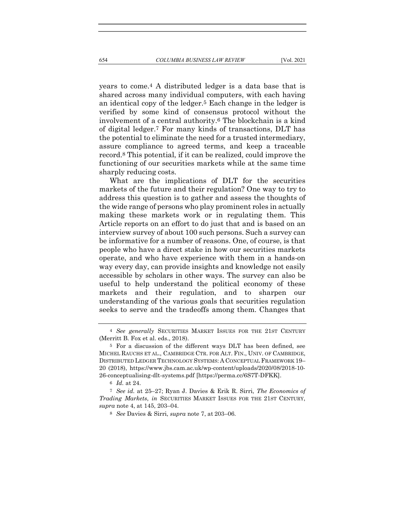years to come.4 A distributed ledger is a data base that is shared across many individual computers, with each having an identical copy of the ledger.5 Each change in the ledger is verified by some kind of consensus protocol without the involvement of a central authority.6 The blockchain is a kind of digital ledger.7 For many kinds of transactions, DLT has the potential to eliminate the need for a trusted intermediary, assure compliance to agreed terms, and keep a traceable record.8 This potential, if it can be realized, could improve the functioning of our securities markets while at the same time sharply reducing costs.

What are the implications of DLT for the securities markets of the future and their regulation? One way to try to address this question is to gather and assess the thoughts of the wide range of persons who play prominent roles in actually making these markets work or in regulating them. This Article reports on an effort to do just that and is based on an interview survey of about 100 such persons. Such a survey can be informative for a number of reasons. One, of course, is that people who have a direct stake in how our securities markets operate, and who have experience with them in a hands-on way every day, can provide insights and knowledge not easily accessible by scholars in other ways. The survey can also be useful to help understand the political economy of these markets and their regulation, and to sharpen our understanding of the various goals that securities regulation seeks to serve and the tradeoffs among them. Changes that

<sup>4</sup> See generally SECURITIES MARKET ISSUES FOR THE 21ST CENTURY (Merritt B. Fox et al. eds., 2018).

<sup>5</sup> For a discussion of the different ways DLT has been defined, see MICHEL RAUCHS ET AL., CAMBRIDGE CTR. FOR ALT. FIN., UNIV. OF CAMBRIDGE, DISTRIBUTED LEDGER TECHNOLOGY SYSTEMS: A CONCEPTUAL FRAMEWORK 19– 20 (2018), https://www.jbs.cam.ac.uk/wp-content/uploads/2020/08/2018-10- 26-conceptualising-dlt-systems.pdf [https://perma.cc/6S7T-DFKK].

<sup>6</sup> Id. at 24.

<sup>7</sup> See id. at 25–27; Ryan J. Davies & Erik R. Sirri, The Economics of Trading Markets, in SECURITIES MARKET ISSUES FOR THE 21ST CENTURY, supra note 4, at 145, 203–04.

<sup>8</sup> See Davies & Sirri, supra note 7, at 203–06.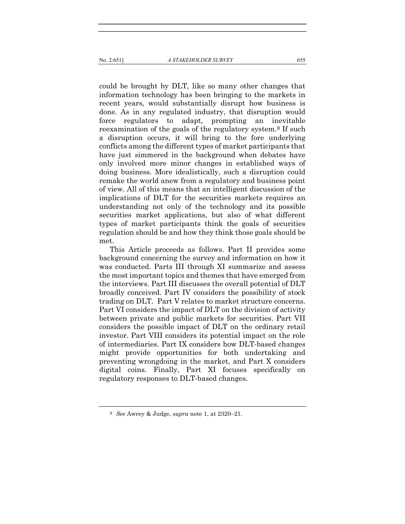could be brought by DLT, like so many other changes that information technology has been bringing to the markets in recent years, would substantially disrupt how business is done. As in any regulated industry, that disruption would force regulators to adapt, prompting an inevitable reexamination of the goals of the regulatory system.9 If such a disruption occurs, it will bring to the fore underlying conflicts among the different types of market participants that have just simmered in the background when debates have only involved more minor changes in established ways of doing business. More idealistically, such a disruption could remake the world anew from a regulatory and business point of view. All of this means that an intelligent discussion of the implications of DLT for the securities markets requires an understanding not only of the technology and its possible securities market applications, but also of what different types of market participants think the goals of securities regulation should be and how they think those goals should be met.

This Article proceeds as follows. Part II provides some background concerning the survey and information on how it was conducted. Parts III through XI summarize and assess the most important topics and themes that have emerged from the interviews. Part III discusses the overall potential of DLT broadly conceived. Part IV considers the possibility of stock trading on DLT. Part V relates to market structure concerns. Part VI considers the impact of DLT on the division of activity between private and public markets for securities. Part VII considers the possible impact of DLT on the ordinary retail investor. Part VIII considers its potential impact on the role of intermediaries. Part IX considers how DLT-based changes might provide opportunities for both undertaking and preventing wrongdoing in the market, and Part X considers digital coins. Finally, Part XI focuses specifically on regulatory responses to DLT-based changes.

<sup>9</sup> See Awrey & Judge, supra note 1, at 2320–21.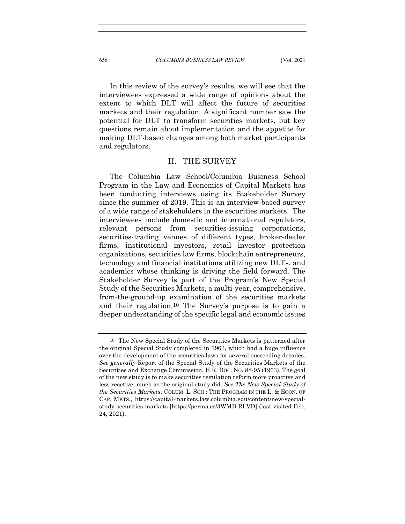In this review of the survey's results, we will see that the interviewees expressed a wide range of opinions about the extent to which DLT will affect the future of securities markets and their regulation. A significant number saw the potential for DLT to transform securities markets, but key questions remain about implementation and the appetite for making DLT-based changes among both market participants

#### II. THE SURVEY

The Columbia Law School/Columbia Business School Program in the Law and Economics of Capital Markets has been conducting interviews using its Stakeholder Survey since the summer of 2019. This is an interview-based survey of a wide range of stakeholders in the securities markets. The interviewees include domestic and international regulators, relevant persons from securities-issuing corporations, securities-trading venues of different types, broker-dealer firms, institutional investors, retail investor protection organizations, securities law firms, blockchain entrepreneurs, technology and financial institutions utilizing new DLTs, and academics whose thinking is driving the field forward. The Stakeholder Survey is part of the Program's New Special Study of the Securities Markets, a multi-year, comprehensive, from-the-ground-up examination of the securities markets and their regulation.10 The Survey's purpose is to gain a deeper understanding of the specific legal and economic issues

and regulators.

<sup>10</sup> The New Special Study of the Securities Markets is patterned after the original Special Study completed in 1963, which had a huge influence over the development of the securities laws for several succeeding decades. See generally Report of the Special Study of the Securities Markets of the Securities and Exchange Commission, H.R. DOC. NO. 88-95 (1963). The goal of the new study is to make securities regulation reform more proactive and less reactive, much as the original study did. See The New Special Study of the Securities Markets, COLUM. L. SCH.: THE PROGRAM IN THE L. & ECON. OF CAP. MKTS., https://capital-markets.law.columbia.edu/content/new-specialstudy-securities-markets [https://perma.cc/3WMB-RLVD] (last visited Feb. 24, 2021).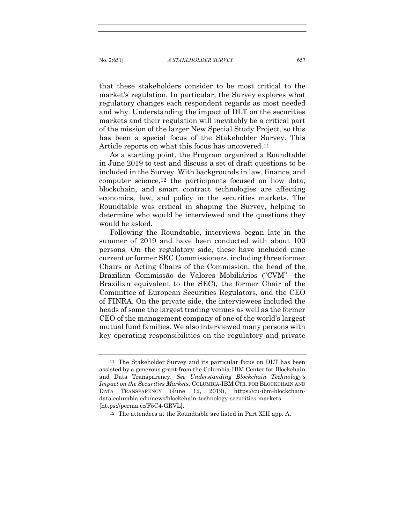that these stakeholders consider to be most critical to the market's regulation. In particular, the Survey explores what regulatory changes each respondent regards as most needed and why. Understanding the impact of DLT on the securities markets and their regulation will inevitably be a critical part of the mission of the larger New Special Study Project, so this has been a special focus of the Stakeholder Survey. This Article reports on what this focus has uncovered.11

As a starting point, the Program organized a Roundtable in June 2019 to test and discuss a set of draft questions to be included in the Survey. With backgrounds in law, finance, and computer science,12 the participants focused on how data, blockchain, and smart contract technologies are affecting economics, law, and policy in the securities markets. The Roundtable was critical in shaping the Survey, helping to determine who would be interviewed and the questions they would be asked.

Following the Roundtable, interviews began late in the summer of 2019 and have been conducted with about 100 persons. On the regulatory side, these have included nine current or former SEC Commissioners, including three former Chairs or Acting Chairs of the Commission, the head of the Brazilian Commissão de Valores Mobiliários ("CVM"—the Brazilian equivalent to the SEC), the former Chair of the Committee of European Securities Regulators, and the CEO of FINRA. On the private side, the interviewees included the heads of some the largest trading venues as well as the former CEO of the management company of one of the world's largest mutual fund families. We also interviewed many persons with key operating responsibilities on the regulatory and private

<sup>11</sup> The Stakeholder Survey and its particular focus on DLT has been assisted by a generous grant from the Columbia-IBM Center for Blockchain and Data Transparency. See Understanding Blockchain Technology's Impact on the Securities Markets, COLUMBIA-IBM CTR. FOR BLOCKCHAIN AND DATA TRANSPARENCY (June 12, 2019), https://cu-ibm-blockchaindata.columbia.edu/news/blockchain-technology-securities-markets [https://perma.cc/F5C4-GRVL].

<sup>12</sup> The attendees at the Roundtable are listed in Part XIII app. A.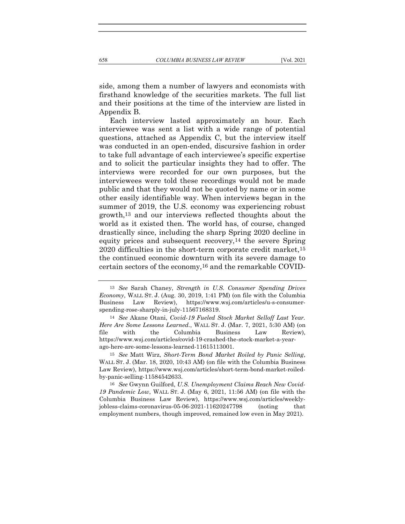side, among them a number of lawyers and economists with firsthand knowledge of the securities markets. The full list and their positions at the time of the interview are listed in Appendix B.

Each interview lasted approximately an hour. Each interviewee was sent a list with a wide range of potential questions, attached as Appendix C, but the interview itself was conducted in an open-ended, discursive fashion in order to take full advantage of each interviewee's specific expertise and to solicit the particular insights they had to offer. The interviews were recorded for our own purposes, but the interviewees were told these recordings would not be made public and that they would not be quoted by name or in some other easily identifiable way. When interviews began in the summer of 2019, the U.S. economy was experiencing robust growth,13 and our interviews reflected thoughts about the world as it existed then. The world has, of course, changed drastically since, including the sharp Spring 2020 decline in equity prices and subsequent recovery,14 the severe Spring 2020 difficulties in the short-term corporate credit market,15 the continued economic downturn with its severe damage to certain sectors of the economy,16 and the remarkable COVID-

<sup>13</sup> See Sarah Chaney, Strength in U.S. Consumer Spending Drives Economy, WALL ST. J. (Aug. 30, 2019, 1:41 PM) (on file with the Columbia Business Law Review), https://www.wsj.com/articles/u-s-consumerspending-rose-sharply-in-july-11567168319.

<sup>14</sup> See Akane Otani, Covid-19 Fueled Stock Market Selloff Last Year. Here Are Some Lessons Learned., WALL ST. J. (Mar. 7, 2021, 5:30 AM) (on file with the Columbia Business Law Review), https://www.wsj.com/articles/covid-19-crashed-the-stock-market-a-yearago-here-are-some-lessons-learned-11615113001.

<sup>15</sup> See Matt Wirz, Short-Term Bond Market Roiled by Panic Selling, WALL ST. J. (Mar. 18, 2020, 10:43 AM) (on file with the Columbia Business Law Review), https://www.wsj.com/articles/short-term-bond-market-roiledby-panic-selling-11584542633.

<sup>16</sup> See Gwynn Guilford, U.S. Unemployment Claims Reach New Covid-19 Pandemic Low, WALL ST. J. (May 6, 2021, 11:56 AM) (on file with the Columbia Business Law Review), https://www.wsj.com/articles/weeklyjobless-claims-coronavirus-05-06-2021-11620247798 (noting that employment numbers, though improved, remained low even in May 2021).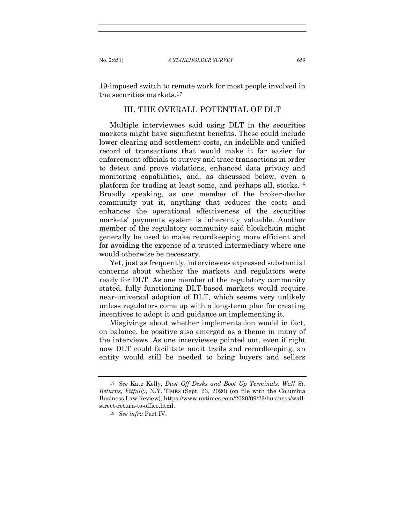19-imposed switch to remote work for most people involved in the securities markets.17

## III. THE OVERALL POTENTIAL OF DLT

Multiple interviewees said using DLT in the securities markets might have significant benefits. These could include lower clearing and settlement costs, an indelible and unified record of transactions that would make it far easier for enforcement officials to survey and trace transactions in order to detect and prove violations, enhanced data privacy and monitoring capabilities, and, as discussed below, even a platform for trading at least some, and perhaps all, stocks.18 Broadly speaking, as one member of the broker-dealer community put it, anything that reduces the costs and enhances the operational effectiveness of the securities markets' payments system is inherently valuable. Another member of the regulatory community said blockchain might generally be used to make recordkeeping more efficient and for avoiding the expense of a trusted intermediary where one would otherwise be necessary.

Yet, just as frequently, interviewees expressed substantial concerns about whether the markets and regulators were ready for DLT. As one member of the regulatory community stated, fully functioning DLT-based markets would require near-universal adoption of DLT, which seems very unlikely unless regulators come up with a long-term plan for creating incentives to adopt it and guidance on implementing it.

Misgivings about whether implementation would in fact, on balance, be positive also emerged as a theme in many of the interviews. As one interviewee pointed out, even if right now DLT could facilitate audit trails and recordkeeping, an entity would still be needed to bring buyers and sellers

<sup>17</sup> See Kate Kelly, Dust Off Desks and Boot Up Terminals: Wall St. Returns, Fitfully, N.Y. TIMES (Sept. 23, 2020) (on file with the Columbia Business Law Review), https://www.nytimes.com/2020/09/23/business/wallstreet-return-to-office.html.

<sup>18</sup> See infra Part IV.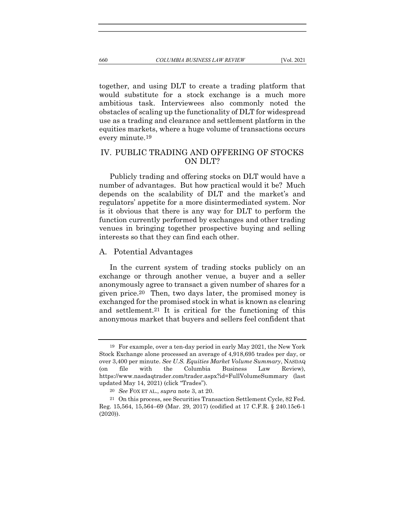together, and using DLT to create a trading platform that would substitute for a stock exchange is a much more ambitious task. Interviewees also commonly noted the obstacles of scaling up the functionality of DLT for widespread use as a trading and clearance and settlement platform in the equities markets, where a huge volume of transactions occurs every minute.19

## IV. PUBLIC TRADING AND OFFERING OF STOCKS ON DLT?

Publicly trading and offering stocks on DLT would have a number of advantages. But how practical would it be? Much depends on the scalability of DLT and the market's and regulators' appetite for a more disintermediated system. Nor is it obvious that there is any way for DLT to perform the function currently performed by exchanges and other trading venues in bringing together prospective buying and selling interests so that they can find each other.

#### A. Potential Advantages

In the current system of trading stocks publicly on an exchange or through another venue, a buyer and a seller anonymously agree to transact a given number of shares for a given price.20 Then, two days later, the promised money is exchanged for the promised stock in what is known as clearing and settlement.21 It is critical for the functioning of this anonymous market that buyers and sellers feel confident that

<sup>19</sup> For example, over a ten-day period in early May 2021, the New York Stock Exchange alone processed an average of 4,918,695 trades per day, or over 3,400 per minute. See U.S. Equities Market Volume Summary, NASDAQ (on file with the Columbia Business Law Review), https://www.nasdaqtrader.com/trader.aspx?id=FullVolumeSummary (last updated May 14, 2021) (click "Trades").

<sup>20</sup> See FOX ET AL., supra note 3, at 20.

<sup>21</sup> On this process, see Securities Transaction Settlement Cycle, 82 Fed. Reg. 15,564, 15,564–69 (Mar. 29, 2017) (codified at 17 C.F.R. § 240.15c6-1 (2020)).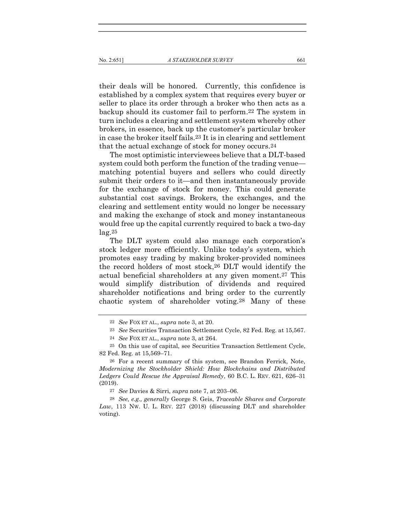their deals will be honored. Currently, this confidence is established by a complex system that requires every buyer or seller to place its order through a broker who then acts as a backup should its customer fail to perform.22 The system in turn includes a clearing and settlement system whereby other brokers, in essence, back up the customer's particular broker in case the broker itself fails.23 It is in clearing and settlement that the actual exchange of stock for money occurs.24

The most optimistic interviewees believe that a DLT-based system could both perform the function of the trading venue matching potential buyers and sellers who could directly submit their orders to it—and then instantaneously provide for the exchange of stock for money. This could generate substantial cost savings. Brokers, the exchanges, and the clearing and settlement entity would no longer be necessary and making the exchange of stock and money instantaneous would free up the capital currently required to back a two-day  $lag.25$ 

The DLT system could also manage each corporation's stock ledger more efficiently. Unlike today's system, which promotes easy trading by making broker-provided nominees the record holders of most stock,26 DLT would identify the actual beneficial shareholders at any given moment.27 This would simplify distribution of dividends and required shareholder notifications and bring order to the currently chaotic system of shareholder voting.28 Many of these

27 See Davies & Sirri, supra note 7, at 203–06.

<sup>22</sup> See FOX ET AL., supra note 3, at 20.

<sup>23</sup> See Securities Transaction Settlement Cycle, 82 Fed. Reg. at 15,567.

<sup>24</sup> See FOX ET AL., supra note 3, at 264.

<sup>25</sup> On this use of capital, see Securities Transaction Settlement Cycle, 82 Fed. Reg. at 15,569–71.

<sup>26</sup> For a recent summary of this system, see Brandon Ferrick, Note, Modernizing the Stockholder Shield: How Blockchains and Distributed Ledgers Could Rescue the Appraisal Remedy, 60 B.C. L. REV. 621, 626–31 (2019).

<sup>28</sup> See, e.g., generally George S. Geis, Traceable Shares and Corporate Law, 113 Nw. U. L. REV. 227 (2018) (discussing DLT and shareholder voting).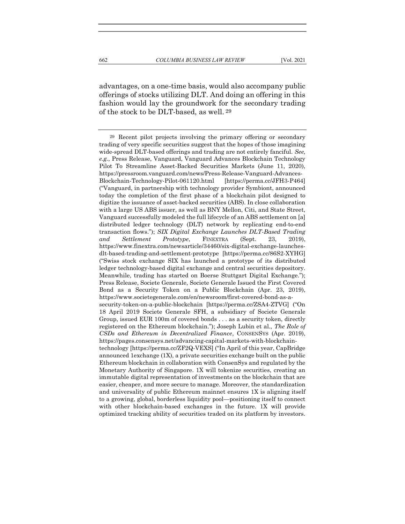advantages, on a one-time basis, would also accompany public offerings of stocks utilizing DLT. And doing an offering in this fashion would lay the groundwork for the secondary trading of the stock to be DLT-based, as well. 29

<sup>29</sup> Recent pilot projects involving the primary offering or secondary trading of very specific securities suggest that the hopes of those imagining wide-spread DLT-based offerings and trading are not entirely fanciful. See, e.g., Press Release, Vanguard, Vanguard Advances Blockchain Technology Pilot To Streamline Asset-Backed Securities Markets (June 11, 2020), https://pressroom.vanguard.com/news/Press-Release-Vanguard-Advances-Blockchain-Technology-Pilot-061120.html [https://perma.cc/JFH3-P464] ("Vanguard, in partnership with technology provider Symbiont, announced today the completion of the first phase of a blockchain pilot designed to digitize the issuance of asset-backed securities (ABS). In close collaboration with a large US ABS issuer, as well as BNY Mellon, Citi, and State Street, Vanguard successfully modeled the full lifecycle of an ABS settlement on [a] distributed ledger technology (DLT) network by replicating end-to-end transaction flows."); SIX Digital Exchange Launches DLT-Based Trading and Settlement Prototype, FINEXTRA (Sept. 23, 2019), https://www.finextra.com/newsarticle/34460/six-digital-exchange-launchesdlt-based-trading-and-settlement-prototype [https://perma.cc/86S2-XYHG] ("Swiss stock exchange SIX has launched a prototype of its distributed ledger technology-based digital exchange and central securities depository. Meanwhile, trading has started on Boerse Stuttgart Digital Exchange."); Press Release, Societe Generale, Societe Generale Issued the First Covered Bond as a Security Token on a Public Blockchain (Apr. 23, 2019), https://www.societegenerale.com/en/newsroom/first-covered-bond-as-asecurity-token-on-a-public-blockchain [https://perma.cc/ZSA4-ZTVG] ("On 18 April 2019 Societe Generale SFH, a subsidiary of Societe Generale Group, issued EUR 100m of covered bonds . . . as a security token, directly registered on the Ethereum blockchain."); Joseph Lubin et al., The Role of CSDs and Ethereum in Decentralized Finance, CONSENSYS (Apr. 2019), https://pages.consensys.net/advancing-capital-markets-with-blockchaintechnology [https://perma.cc/ZF2Q-VEXS] ("In April of this year, CapBridge announced 1exchange (1X), a private securities exchange built on the public Ethereum blockchain in collaboration with ConsenSys and regulated by the Monetary Authority of Singapore. 1X will tokenize securities, creating an immutable digital representation of investments on the blockchain that are easier, cheaper, and more secure to manage. Moreover, the standardization and universality of public Ethereum mainnet ensures 1X is aligning itself to a growing, global, borderless liquidity pool—positioning itself to connect with other blockchain-based exchanges in the future. 1X will provide optimized tracking ability of securities traded on its platform by investors.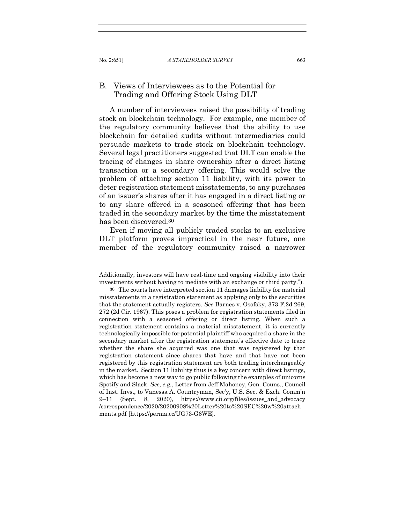## B. Views of Interviewees as to the Potential for Trading and Offering Stock Using DLT

A number of interviewees raised the possibility of trading stock on blockchain technology. For example, one member of the regulatory community believes that the ability to use blockchain for detailed audits without intermediaries could persuade markets to trade stock on blockchain technology. Several legal practitioners suggested that DLT can enable the tracing of changes in share ownership after a direct listing transaction or a secondary offering. This would solve the problem of attaching section 11 liability, with its power to deter registration statement misstatements, to any purchases of an issuer's shares after it has engaged in a direct listing or to any share offered in a seasoned offering that has been traded in the secondary market by the time the misstatement has been discovered.30

Even if moving all publicly traded stocks to an exclusive DLT platform proves impractical in the near future, one member of the regulatory community raised a narrower

Additionally, investors will have real-time and ongoing visibility into their investments without having to mediate with an exchange or third party.").

<sup>30</sup> The courts have interpreted section 11 damages liability for material misstatements in a registration statement as applying only to the securities that the statement actually registers. See Barnes v. Osofsky, 373 F.2d 269, 272 (2d Cir. 1967). This poses a problem for registration statements filed in connection with a seasoned offering or direct listing. When such a registration statement contains a material misstatement, it is currently technologically impossible for potential plaintiff who acquired a share in the secondary market after the registration statement's effective date to trace whether the share she acquired was one that was registered by that registration statement since shares that have and that have not been registered by this registration statement are both trading interchangeably in the market. Section 11 liability thus is a key concern with direct listings, which has become a new way to go public following the examples of unicorns Spotify and Slack. See, e.g., Letter from Jeff Mahoney, Gen. Couns., Council of Inst. Invs., to Vanessa A. Countryman, Sec'y, U.S. Sec. & Exch. Comm'n 9–11 (Sept. 8, 2020), https://www.cii.org/files/issues\_and\_advocacy /correspondence/2020/20200908%20Letter%20to%20SEC%20w%20attach ments.pdf [https://perma.cc/UG73-G6WE].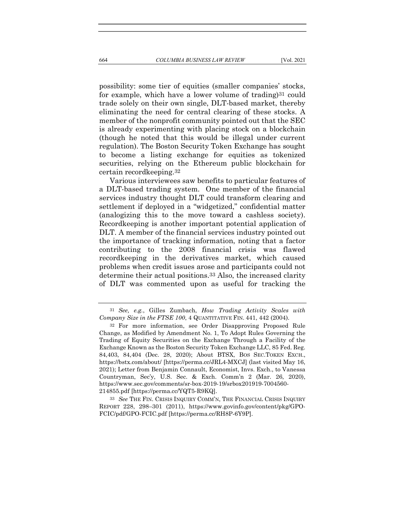possibility: some tier of equities (smaller companies' stocks, for example, which have a lower volume of trading)31 could trade solely on their own single, DLT-based market, thereby eliminating the need for central clearing of these stocks. A member of the nonprofit community pointed out that the SEC is already experimenting with placing stock on a blockchain (though he noted that this would be illegal under current regulation). The Boston Security Token Exchange has sought to become a listing exchange for equities as tokenized

certain recordkeeping.32 Various interviewees saw benefits to particular features of a DLT-based trading system. One member of the financial services industry thought DLT could transform clearing and settlement if deployed in a "widgetized," confidential matter (analogizing this to the move toward a cashless society). Recordkeeping is another important potential application of DLT. A member of the financial services industry pointed out the importance of tracking information, noting that a factor contributing to the 2008 financial crisis was flawed recordkeeping in the derivatives market, which caused problems when credit issues arose and participants could not determine their actual positions.33 Also, the increased clarity of DLT was commented upon as useful for tracking the

securities, relying on the Ethereum public blockchain for

33 See THE FIN. CRISIS INQUIRY COMM'N, THE FINANCIAL CRISIS INQUIRY REPORT 228, 298–301 (2011), https://www.govinfo.gov/content/pkg/GPO-FCIC/pdf/GPO-FCIC.pdf [https://perma.cc/RH8P-6Y9P].

<sup>31</sup> See, e.g., Gilles Zumbach, How Trading Activity Scales with Company Size in the FTSE 100, 4 QUANTITATIVE FIN. 441, 442 (2004).

<sup>32</sup> For more information, see Order Disapproving Proposed Rule Change, as Modified by Amendment No. 1, To Adopt Rules Governing the Trading of Equity Securities on the Exchange Through a Facility of the Exchange Known as the Boston Security Token Exchange LLC, 85 Fed. Reg. 84,403, 84,404 (Dec. 28, 2020); About BTSX, BOS SEC.TOKEN EXCH., https://bstx.com/about/ [https://perma.cc/JRL4-MXCJ] (last visited May 16, 2021); Letter from Benjamin Connault, Economist, Invs. Exch., to Vanessa Countryman, Sec'y, U.S. Sec. & Exch. Comm'n 2 (Mar. 26, 2020), https://www.sec.gov/comments/sr-box-2019-19/srbox201919-7004560- 214855.pdf [https://perma.cc/YQT5-R9KQ].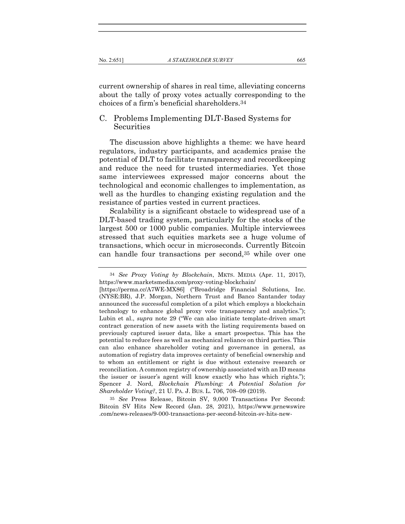current ownership of shares in real time, alleviating concerns about the tally of proxy votes actually corresponding to the choices of a firm's beneficial shareholders.34

## C. Problems Implementing DLT-Based Systems for **Securities**

The discussion above highlights a theme: we have heard regulators, industry participants, and academics praise the potential of DLT to facilitate transparency and recordkeeping and reduce the need for trusted intermediaries. Yet those same interviewees expressed major concerns about the technological and economic challenges to implementation, as well as the hurdles to changing existing regulation and the resistance of parties vested in current practices.

Scalability is a significant obstacle to widespread use of a DLT-based trading system, particularly for the stocks of the largest 500 or 1000 public companies. Multiple interviewees stressed that such equities markets see a huge volume of transactions, which occur in microseconds. Currently Bitcoin can handle four transactions per second,35 while over one

35 See Press Release, Bitcoin SV, 9,000 Transactions Per Second: Bitcoin SV Hits New Record (Jan. 28, 2021), https://www.prnewswire .com/news-releases/9-000-transactions-per-second-bitcoin-sv-hits-new-

<sup>34</sup> See Proxy Voting by Blockchain, MKTS. MEDIA (Apr. 11, 2017), https://www.marketsmedia.com/proxy-voting-blockchain/

<sup>[</sup>https://perma.cc/A7WE-MX86] ("Broadridge Financial Solutions, Inc. (NYSE:BR), J.P. Morgan, Northern Trust and Banco Santander today announced the successful completion of a pilot which employs a blockchain technology to enhance global proxy vote transparency and analytics."); Lubin et al., supra note 29 ("We can also initiate template-driven smart contract generation of new assets with the listing requirements based on previously captured issuer data, like a smart prospectus. This has the potential to reduce fees as well as mechanical reliance on third parties. This can also enhance shareholder voting and governance in general, as automation of registry data improves certainty of beneficial ownership and to whom an entitlement or right is due without extensive research or reconciliation. A common registry of ownership associated with an ID means the issuer or issuer's agent will know exactly who has which rights."); Spencer J. Nord, Blockchain Plumbing: A Potential Solution for Shareholder Voting?, 21 U. PA. J. BUS. L. 706, 708–09 (2019).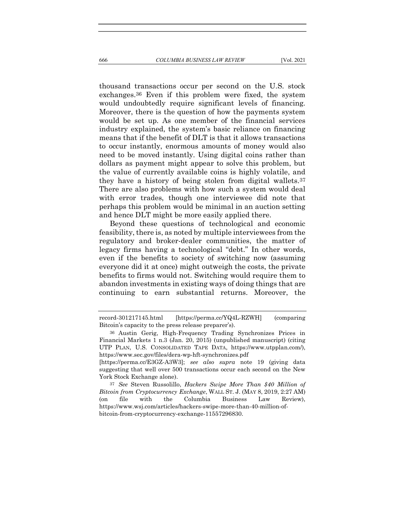thousand transactions occur per second on the U.S. stock exchanges.36 Even if this problem were fixed, the system would undoubtedly require significant levels of financing. Moreover, there is the question of how the payments system would be set up. As one member of the financial services industry explained, the system's basic reliance on financing means that if the benefit of DLT is that it allows transactions to occur instantly, enormous amounts of money would also need to be moved instantly. Using digital coins rather than dollars as payment might appear to solve this problem, but the value of currently available coins is highly volatile, and they have a history of being stolen from digital wallets.37 There are also problems with how such a system would deal with error trades, though one interviewee did note that perhaps this problem would be minimal in an auction setting and hence DLT might be more easily applied there.

Beyond these questions of technological and economic feasibility, there is, as noted by multiple interviewees from the regulatory and broker-dealer communities, the matter of legacy firms having a technological "debt." In other words, even if the benefits to society of switching now (assuming everyone did it at once) might outweigh the costs, the private benefits to firms would not. Switching would require them to abandon investments in existing ways of doing things that are continuing to earn substantial returns. Moreover, the

record-301217145.html [https://perma.cc/YQ4L-RZWH] (comparing Bitcoin's capacity to the press release preparer's).

<sup>36</sup> Austin Gerig, High-Frequency Trading Synchronizes Prices in Financial Markets 1 n.3 (Jan. 20, 2015) (unpublished manuscript) (citing UTP PLAN, U.S. CONSOLIDATED TAPE DATA, https://www.utpplan.com/), https://www.sec.gov/files/dera-wp-hft-synchronizes.pdf

<sup>[</sup>https://perma.cc/E3GZ-A3W3]; see also supra note 19 (giving data suggesting that well over 500 transactions occur each second on the New York Stock Exchange alone).

<sup>37</sup> See Steven Russolillo, Hackers Swipe More Than \$40 Million of Bitcoin from Cryptocurrency Exchange, WALL ST. J. (MAY 8, 2019, 2:27 AM) (on file with the Columbia Business Law Review), https://www.wsj.com/articles/hackers-swipe-more-than-40-million-ofbitcoin-from-cryptocurrency-exchange-11557296830.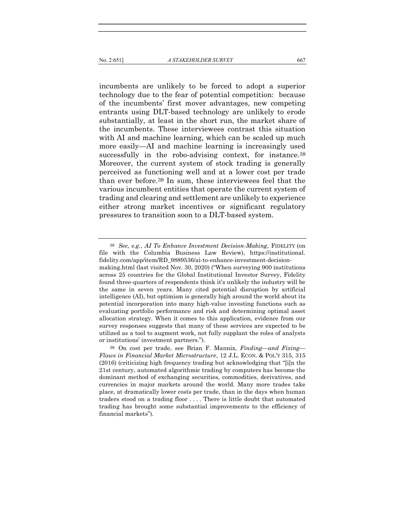incumbents are unlikely to be forced to adopt a superior technology due to the fear of potential competition: because of the incumbents' first mover advantages, new competing entrants using DLT-based technology are unlikely to erode substantially, at least in the short run, the market share of the incumbents. These interviewees contrast this situation with AI and machine learning, which can be scaled up much more easily—AI and machine learning is increasingly used successfully in the robo-advising context, for instance.38 Moreover, the current system of stock trading is generally perceived as functioning well and at a lower cost per trade than ever before.39 In sum, these interviewees feel that the various incumbent entities that operate the current system of trading and clearing and settlement are unlikely to experience either strong market incentives or significant regulatory pressures to transition soon to a DLT-based system.

<sup>38</sup> See, e.g., AI To Enhance Investment Decision-Making, FIDELITY (on file with the Columbia Business Law Review), https://institutional. fidelity.com/app/item/RD\_9889536/ai-to-enhance-investment-decisionmaking.html (last visited Nov. 30, 2020) ("When surveying 900 institutions across 25 countries for the Global Institutional Investor Survey, Fidelity found three-quarters of respondents think it's unlikely the industry will be the same in seven years. Many cited potential disruption by artificial intelligence (AI), but optimism is generally high around the world about its potential incorporation into many high-value investing functions such as evaluating portfolio performance and risk and determining optimal asset allocation strategy. When it comes to this application, evidence from our survey responses suggests that many of these services are expected to be utilized as a tool to augment work, not fully supplant the roles of analysts or institutions' investment partners.").

<sup>39</sup> On cost per trade, see Brian F. Mannix, Finding—and Fixing— Flaws in Financial Market Microstructure, 12 J.L. ECON. & POL'Y 315, 315 (2016) (criticizing high frequency trading but acknowledging that "[i]n the 21st century, automated algorithmic trading by computers has become the dominant method of exchanging securities, commodities, derivatives, and currencies in major markets around the world. Many more trades take place, at dramatically lower costs per trade, than in the days when human traders stood on a trading floor . . . . There is little doubt that automated trading has brought some substantial improvements to the efficiency of financial markets").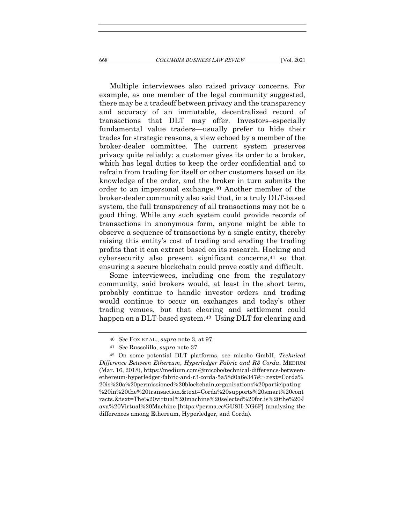Multiple interviewees also raised privacy concerns. For example, as one member of the legal community suggested, there may be a tradeoff between privacy and the transparency and accuracy of an immutable, decentralized record of transactions that DLT may offer. Investors–especially fundamental value traders—usually prefer to hide their trades for strategic reasons, a view echoed by a member of the broker-dealer committee. The current system preserves privacy quite reliably: a customer gives its order to a broker, which has legal duties to keep the order confidential and to refrain from trading for itself or other customers based on its knowledge of the order, and the broker in turn submits the order to an impersonal exchange.40 Another member of the broker-dealer community also said that, in a truly DLT-based system, the full transparency of all transactions may not be a good thing. While any such system could provide records of transactions in anonymous form, anyone might be able to observe a sequence of transactions by a single entity, thereby raising this entity's cost of trading and eroding the trading profits that it can extract based on its research. Hacking and cybersecurity also present significant concerns,41 so that ensuring a secure blockchain could prove costly and difficult.

Some interviewees, including one from the regulatory community, said brokers would, at least in the short term, probably continue to handle investor orders and trading would continue to occur on exchanges and today's other trading venues, but that clearing and settlement could happen on a DLT-based system.<sup>42</sup> Using DLT for clearing and

<sup>40</sup> See FOX ET AL., supra note 3, at 97.

<sup>41</sup> See Russolillo, supra note 37.

<sup>42</sup> On some potential DLT platforms, see micobo GmbH, Technical Difference Between Ethereum, Hyperledger Fabric and R3 Corda, MEDIUM (Mar. 16, 2018), https://medium.com/@micobo/technical-difference-betweenethereum-hyperledger-fabric-and-r3-corda-5a58d0a6e347#:~:text=Corda% 20is%20a%20permissioned%20blockchain,organisations%20participating %20in%20the%20transaction.&text=Corda%20supports%20smart%20cont racts.&text=The%20virtual%20machine%20selected%20for,is%20the%20J ava%20Virtual%20Machine [https://perma.cc/GU8H-NG6P] (analyzing the differences among Ethereum, Hyperledger, and Corda).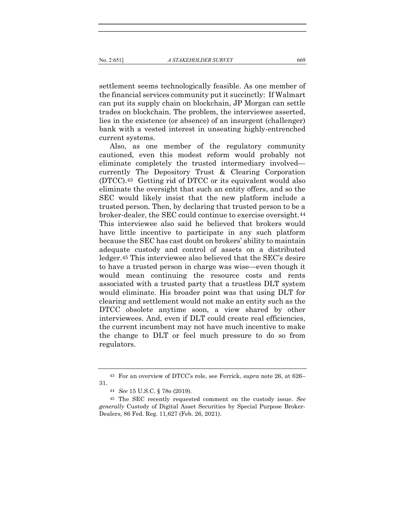settlement seems technologically feasible. As one member of the financial services community put it succinctly: If Walmart can put its supply chain on blockchain, JP Morgan can settle trades on blockchain. The problem, the interviewee asserted, lies in the existence (or absence) of an insurgent (challenger) bank with a vested interest in unseating highly-entrenched current systems.

Also, as one member of the regulatory community cautioned, even this modest reform would probably not eliminate completely the trusted intermediary involved currently The Depository Trust & Clearing Corporation (DTCC).43 Getting rid of DTCC or its equivalent would also eliminate the oversight that such an entity offers, and so the SEC would likely insist that the new platform include a trusted person. Then, by declaring that trusted person to be a broker-dealer, the SEC could continue to exercise oversight.44 This interviewee also said he believed that brokers would have little incentive to participate in any such platform because the SEC has cast doubt on brokers' ability to maintain adequate custody and control of assets on a distributed ledger.45 This interviewee also believed that the SEC's desire to have a trusted person in charge was wise—even though it would mean continuing the resource costs and rents associated with a trusted party that a trustless DLT system would eliminate. His broader point was that using DLT for clearing and settlement would not make an entity such as the DTCC obsolete anytime soon, a view shared by other interviewees. And, even if DLT could create real efficiencies, the current incumbent may not have much incentive to make the change to DLT or feel much pressure to do so from regulators.

<sup>43</sup> For an overview of DTCC's role, see Ferrick, supra note 26, at 626– 31.

<sup>44</sup> See 15 U.S.C. § 78o (2019).

<sup>45</sup> The SEC recently requested comment on the custody issue. See generally Custody of Digital Asset Securities by Special Purpose Broker-Dealers, 86 Fed. Reg. 11,627 (Feb. 26, 2021).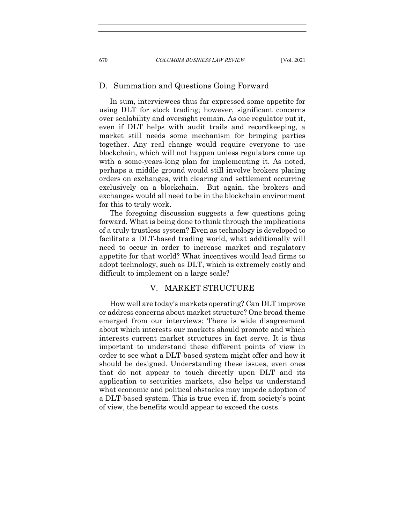#### D. Summation and Questions Going Forward

In sum, interviewees thus far expressed some appetite for using DLT for stock trading; however, significant concerns over scalability and oversight remain. As one regulator put it, even if DLT helps with audit trails and recordkeeping, a market still needs some mechanism for bringing parties together. Any real change would require everyone to use blockchain, which will not happen unless regulators come up with a some-years-long plan for implementing it. As noted, perhaps a middle ground would still involve brokers placing orders on exchanges, with clearing and settlement occurring exclusively on a blockchain. But again, the brokers and exchanges would all need to be in the blockchain environment for this to truly work.

The foregoing discussion suggests a few questions going forward. What is being done to think through the implications of a truly trustless system? Even as technology is developed to facilitate a DLT-based trading world, what additionally will need to occur in order to increase market and regulatory appetite for that world? What incentives would lead firms to adopt technology, such as DLT, which is extremely costly and difficult to implement on a large scale?

## V. MARKET STRUCTURE

How well are today's markets operating? Can DLT improve or address concerns about market structure? One broad theme emerged from our interviews: There is wide disagreement about which interests our markets should promote and which interests current market structures in fact serve. It is thus important to understand these different points of view in order to see what a DLT-based system might offer and how it should be designed. Understanding these issues, even ones that do not appear to touch directly upon DLT and its application to securities markets, also helps us understand what economic and political obstacles may impede adoption of a DLT-based system. This is true even if, from society's point of view, the benefits would appear to exceed the costs.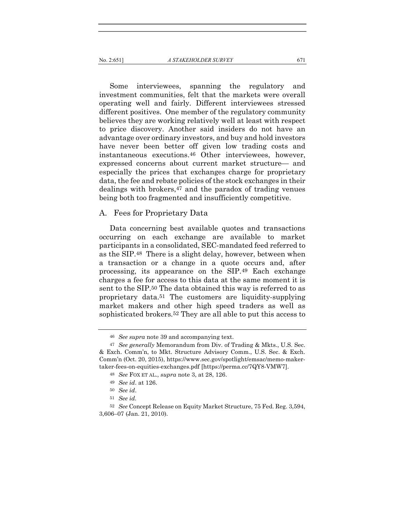Some interviewees, spanning the regulatory and investment communities, felt that the markets were overall operating well and fairly. Different interviewees stressed different positives. One member of the regulatory community believes they are working relatively well at least with respect to price discovery. Another said insiders do not have an advantage over ordinary investors, and buy and hold investors have never been better off given low trading costs and instantaneous executions.46 Other interviewees, however, expressed concerns about current market structure— and especially the prices that exchanges charge for proprietary data, the fee and rebate policies of the stock exchanges in their dealings with brokers,47 and the paradox of trading venues being both too fragmented and insufficiently competitive.

#### A. Fees for Proprietary Data

Data concerning best available quotes and transactions occurring on each exchange are available to market participants in a consolidated, SEC-mandated feed referred to as the SIP.48 There is a slight delay, however, between when a transaction or a change in a quote occurs and, after processing, its appearance on the SIP.49 Each exchange charges a fee for access to this data at the same moment it is sent to the SIP.50 The data obtained this way is referred to as proprietary data.51 The customers are liquidity-supplying market makers and other high speed traders as well as sophisticated brokers.52 They are all able to put this access to

<sup>46</sup> See supra note 39 and accompanying text.

<sup>47</sup> See generally Memorandum from Div. of Trading & Mkts., U.S. Sec. & Exch. Comm'n, to Mkt. Structure Advisory Comm., U.S. Sec. & Exch. Comm'n (Oct. 20, 2015), https://www.sec.gov/spotlight/emsac/memo-makertaker-fees-on-equities-exchanges.pdf [https://perma.cc/7QY8-VMW7].

<sup>48</sup> See FOX ET AL., supra note 3, at 28, 126.

<sup>49</sup> See id. at 126.

<sup>50</sup> See id.

<sup>51</sup> See id.

<sup>52</sup> See Concept Release on Equity Market Structure, 75 Fed. Reg. 3,594, 3,606–07 (Jan. 21, 2010).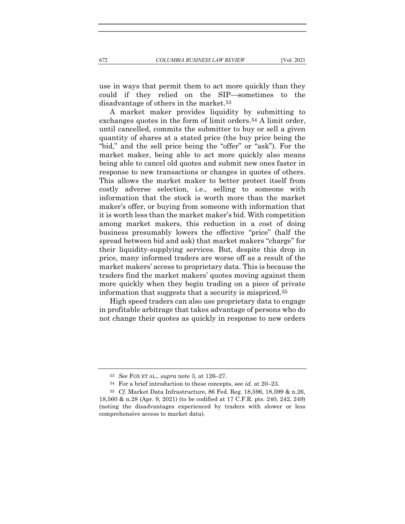use in ways that permit them to act more quickly than they could if they relied on the SIP—sometimes to the disadvantage of others in the market.53

A market maker provides liquidity by submitting to exchanges quotes in the form of limit orders.<sup>54</sup> A limit order, until cancelled, commits the submitter to buy or sell a given quantity of shares at a stated price (the buy price being the "bid," and the sell price being the "offer" or "ask"). For the market maker, being able to act more quickly also means being able to cancel old quotes and submit new ones faster in response to new transactions or changes in quotes of others. This allows the market maker to better protect itself from costly adverse selection, i.e., selling to someone with information that the stock is worth more than the market maker's offer, or buying from someone with information that it is worth less than the market maker's bid. With competition among market makers, this reduction in a cost of doing business presumably lowers the effective "price" (half the spread between bid and ask) that market makers "charge" for their liquidity-supplying services. But, despite this drop in price, many informed traders are worse off as a result of the market makers' access to proprietary data. This is because the traders find the market makers' quotes moving against them more quickly when they begin trading on a piece of private information that suggests that a security is mispriced.55

High speed traders can also use proprietary data to engage in profitable arbitrage that takes advantage of persons who do not change their quotes as quickly in response to new orders

<sup>53</sup> See FOX ET AL., supra note 3, at 126–27.

<sup>54</sup> For a brief introduction to these concepts, see id. at 20–23.

<sup>55</sup> Cf. Market Data Infrastructure, 86 Fed. Reg. 18,596, 18,599 & n.26, 18,560 & n.28 (Apr. 9, 2021) (to be codified at 17 C.F.R. pts. 240, 242, 249) (noting the disadvantages experienced by traders with slower or less comprehensive access to market data).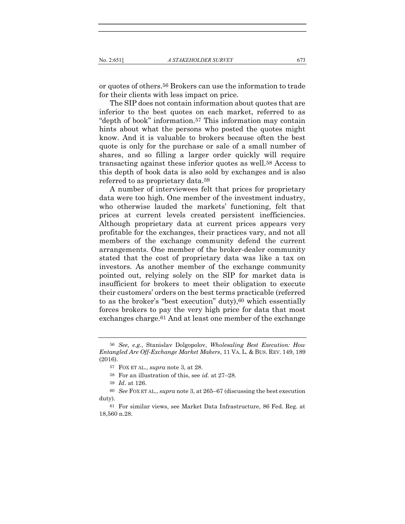or quotes of others.56 Brokers can use the information to trade for their clients with less impact on price.

The SIP does not contain information about quotes that are inferior to the best quotes on each market, referred to as "depth of book" information.57 This information may contain hints about what the persons who posted the quotes might know. And it is valuable to brokers because often the best quote is only for the purchase or sale of a small number of shares, and so filling a larger order quickly will require transacting against these inferior quotes as well.58 Access to this depth of book data is also sold by exchanges and is also referred to as proprietary data.59

A number of interviewees felt that prices for proprietary data were too high. One member of the investment industry, who otherwise lauded the markets' functioning, felt that prices at current levels created persistent inefficiencies. Although proprietary data at current prices appears very profitable for the exchanges, their practices vary, and not all members of the exchange community defend the current arrangements. One member of the broker-dealer community stated that the cost of proprietary data was like a tax on investors. As another member of the exchange community pointed out, relying solely on the SIP for market data is insufficient for brokers to meet their obligation to execute their customers' orders on the best terms practicable (referred to as the broker's "best execution" duty),60 which essentially forces brokers to pay the very high price for data that most exchanges charge.61 And at least one member of the exchange

<sup>56</sup> See, e.g., Stanislav Dolgopolov, Wholesaling Best Execution: How Entangled Are Off-Exchange Market Makers, 11 VA. L. & BUS. REV. 149, 189 (2016).

<sup>57</sup> FOX ET AL., supra note 3, at 28.

<sup>58</sup> For an illustration of this, see id. at 27–28.

<sup>59</sup> Id. at 126.

<sup>60</sup> See FOX ET AL., supra note 3, at 265–67 (discussing the best execution duty).

<sup>61</sup> For similar views, see Market Data Infrastructure, 86 Fed. Reg. at 18,560 n.28.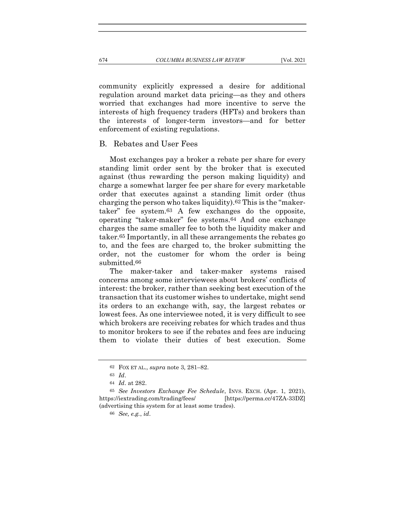community explicitly expressed a desire for additional regulation around market data pricing—as they and others worried that exchanges had more incentive to serve the interests of high frequency traders (HFTs) and brokers than the interests of longer-term investors—and for better

#### B. Rebates and User Fees

enforcement of existing regulations.

Most exchanges pay a broker a rebate per share for every standing limit order sent by the broker that is executed against (thus rewarding the person making liquidity) and charge a somewhat larger fee per share for every marketable order that executes against a standing limit order (thus charging the person who takes liquidity).62 This is the "makertaker" fee system.63 A few exchanges do the opposite, operating "taker-maker" fee systems.64 And one exchange charges the same smaller fee to both the liquidity maker and taker.65 Importantly, in all these arrangements the rebates go to, and the fees are charged to, the broker submitting the order, not the customer for whom the order is being submitted.66

The maker-taker and taker-maker systems raised concerns among some interviewees about brokers' conflicts of interest: the broker, rather than seeking best execution of the transaction that its customer wishes to undertake, might send its orders to an exchange with, say, the largest rebates or lowest fees. As one interviewee noted, it is very difficult to see which brokers are receiving rebates for which trades and thus to monitor brokers to see if the rebates and fees are inducing them to violate their duties of best execution. Some

<sup>62</sup> FOX ET AL., supra note 3, 281–82.

<sup>63</sup> Id.

<sup>64</sup> Id. at 282.

<sup>65</sup> See Investors Exchange Fee Schedule, INVS. EXCH. (Apr. 1, 2021), https://iextrading.com/trading/fees/ [https://perma.cc/47ZA-33DZ] (advertising this system for at least some trades).

<sup>66</sup> See, e.g., id.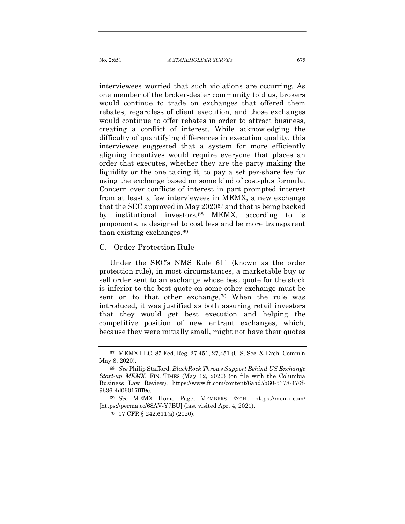interviewees worried that such violations are occurring. As one member of the broker-dealer community told us, brokers would continue to trade on exchanges that offered them rebates, regardless of client execution, and those exchanges would continue to offer rebates in order to attract business, creating a conflict of interest. While acknowledging the difficulty of quantifying differences in execution quality, this interviewee suggested that a system for more efficiently aligning incentives would require everyone that places an order that executes, whether they are the party making the liquidity or the one taking it, to pay a set per-share fee for using the exchange based on some kind of cost-plus formula. Concern over conflicts of interest in part prompted interest from at least a few interviewees in MEMX, a new exchange that the SEC approved in May 202067 and that is being backed by institutional investors.68 MEMX, according to is proponents, is designed to cost less and be more transparent than existing exchanges.69

#### C. Order Protection Rule

Under the SEC's NMS Rule 611 (known as the order protection rule), in most circumstances, a marketable buy or sell order sent to an exchange whose best quote for the stock is inferior to the best quote on some other exchange must be sent on to that other exchange.70 When the rule was introduced, it was justified as both assuring retail investors that they would get best execution and helping the competitive position of new entrant exchanges, which, because they were initially small, might not have their quotes

<sup>67</sup> MEMX LLC, 85 Fed. Reg. 27,451, 27,451 (U.S. Sec. & Exch. Comm'n May 8, 2020).

<sup>68</sup> See Philip Stafford, BlackRock Throws Support Behind US Exchange Start-up MEMX, FIN. TIMES (May 12, 2020) (on file with the Columbia Business Law Review), https://www.ft.com/content/6aad5b60-5378-476f-9636-4d06017fff9e.

<sup>69</sup> See MEMX Home Page, MEMBERS EXCH., https://memx.com/ [https://perma.cc/68AV-Y7BU] (last visited Apr. 4, 2021).

<sup>70</sup> 17 CFR § 242.611(a) (2020).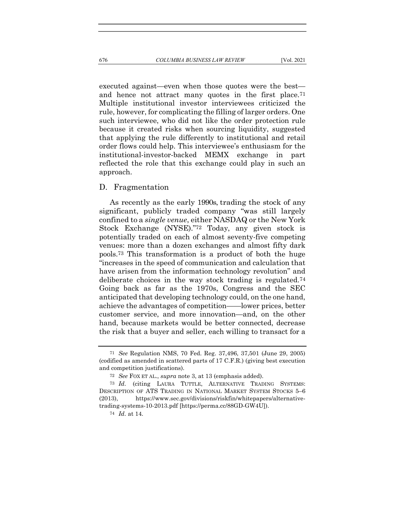executed against—even when those quotes were the best and hence not attract many quotes in the first place.71 Multiple institutional investor interviewees criticized the rule, however, for complicating the filling of larger orders. One such interviewee, who did not like the order protection rule because it created risks when sourcing liquidity, suggested that applying the rule differently to institutional and retail order flows could help. This interviewee's enthusiasm for the institutional-investor-backed MEMX exchange in part reflected the role that this exchange could play in such an

#### D. Fragmentation

approach.

As recently as the early 1990s, trading the stock of any significant, publicly traded company "was still largely confined to a single venue, either NASDAQ or the New York Stock Exchange (NYSE)."72 Today, any given stock is potentially traded on each of almost seventy-five competing venues: more than a dozen exchanges and almost fifty dark pools.73 This transformation is a product of both the huge "increases in the speed of communication and calculation that have arisen from the information technology revolution" and deliberate choices in the way stock trading is regulated.74 Going back as far as the 1970s, Congress and the SEC anticipated that developing technology could, on the one hand, achieve the advantages of competition——lower prices, better customer service, and more innovation—and, on the other hand, because markets would be better connected, decrease the risk that a buyer and seller, each willing to transact for a

<sup>71</sup> See Regulation NMS, 70 Fed. Reg. 37,496, 37,501 (June 29, 2005) (codified as amended in scattered parts of 17 C.F.R.) (giving best execution and competition justifications).

<sup>72</sup> See FOX ET AL., supra note 3, at 13 (emphasis added).

<sup>73</sup> Id. (citing LAURA TUTTLE, ALTERNATIVE TRADING SYSTEMS: DESCRIPTION OF ATS TRADING IN NATIONAL MARKET SYSTEM STOCKS 5–6 (2013), https://www.sec.gov/divisions/riskfin/whitepapers/alternativetrading-systems-10-2013.pdf [https://perma.cc/88GD-GW4U]).

<sup>74</sup> Id. at 14.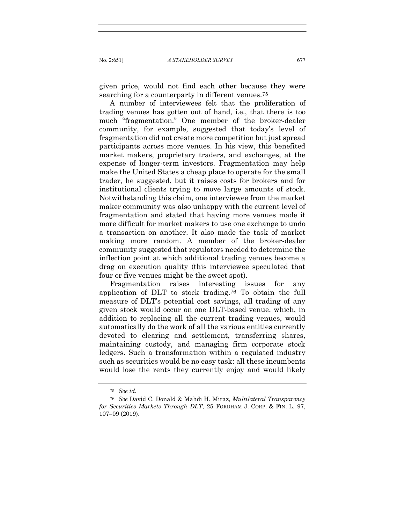given price, would not find each other because they were searching for a counterparty in different venues.<sup>75</sup>

A number of interviewees felt that the proliferation of trading venues has gotten out of hand, i.e., that there is too much "fragmentation." One member of the broker-dealer community, for example, suggested that today's level of fragmentation did not create more competition but just spread participants across more venues. In his view, this benefited market makers, proprietary traders, and exchanges, at the expense of longer-term investors. Fragmentation may help make the United States a cheap place to operate for the small trader, he suggested, but it raises costs for brokers and for institutional clients trying to move large amounts of stock. Notwithstanding this claim, one interviewee from the market maker community was also unhappy with the current level of fragmentation and stated that having more venues made it more difficult for market makers to use one exchange to undo a transaction on another. It also made the task of market making more random. A member of the broker-dealer community suggested that regulators needed to determine the inflection point at which additional trading venues become a drag on execution quality (this interviewee speculated that four or five venues might be the sweet spot).

Fragmentation raises interesting issues for any application of DLT to stock trading.76 To obtain the full measure of DLT's potential cost savings, all trading of any given stock would occur on one DLT-based venue, which, in addition to replacing all the current trading venues, would automatically do the work of all the various entities currently devoted to clearing and settlement, transferring shares, maintaining custody, and managing firm corporate stock ledgers. Such a transformation within a regulated industry such as securities would be no easy task: all these incumbents would lose the rents they currently enjoy and would likely

<sup>75</sup> See id.

<sup>76</sup> See David C. Donald & Mahdi H. Miraz, Multilateral Transparency for Securities Markets Through DLT, 25 FORDHAM J. CORP. & FIN. L. 97, 107–09 (2019).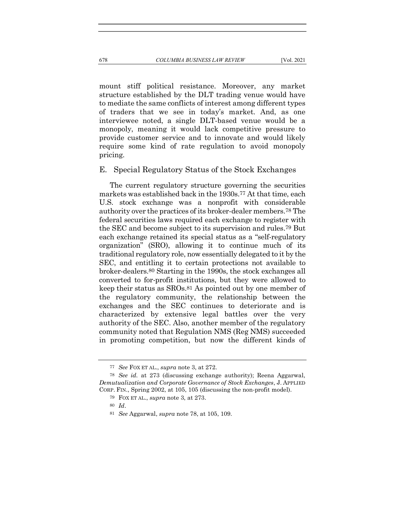mount stiff political resistance. Moreover, any market structure established by the DLT trading venue would have to mediate the same conflicts of interest among different types of traders that we see in today's market. And, as one interviewee noted, a single DLT-based venue would be a monopoly, meaning it would lack competitive pressure to provide customer service and to innovate and would likely require some kind of rate regulation to avoid monopoly pricing.

#### E. Special Regulatory Status of the Stock Exchanges

The current regulatory structure governing the securities markets was established back in the 1930s.77 At that time, each U.S. stock exchange was a nonprofit with considerable authority over the practices of its broker-dealer members.78 The federal securities laws required each exchange to register with the SEC and become subject to its supervision and rules.79 But each exchange retained its special status as a "self-regulatory organization" (SRO), allowing it to continue much of its traditional regulatory role, now essentially delegated to it by the SEC, and entitling it to certain protections not available to broker-dealers.80 Starting in the 1990s, the stock exchanges all converted to for-profit institutions, but they were allowed to keep their status as SROs.81 As pointed out by one member of the regulatory community, the relationship between the exchanges and the SEC continues to deteriorate and is characterized by extensive legal battles over the very authority of the SEC. Also, another member of the regulatory community noted that Regulation NMS (Reg NMS) succeeded in promoting competition, but now the different kinds of

<sup>77</sup> See FOX ET AL., supra note 3, at 272.

<sup>78</sup> See id. at 273 (discussing exchange authority); Reena Aggarwal, Demutualization and Corporate Governance of Stock Exchanges, J. APPLIED CORP. FIN., Spring 2002, at 105, 105 (discussing the non-profit model).

<sup>79</sup> FOX ET AL., supra note 3, at 273.

<sup>80</sup> Id.

<sup>81</sup> See Aggarwal, supra note 78, at 105, 109.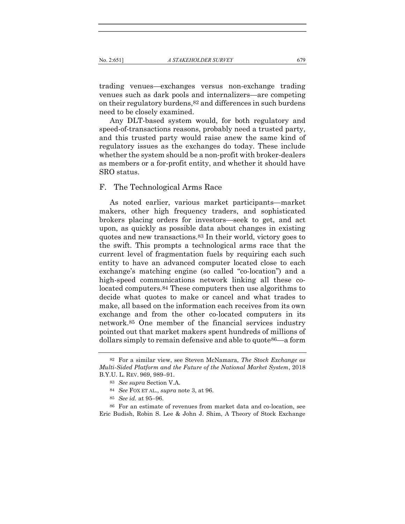trading venues—exchanges versus non-exchange trading venues such as dark pools and internalizers—are competing on their regulatory burdens,82 and differences in such burdens need to be closely examined.

Any DLT-based system would, for both regulatory and speed-of-transactions reasons, probably need a trusted party, and this trusted party would raise anew the same kind of regulatory issues as the exchanges do today. These include whether the system should be a non-profit with broker-dealers as members or a for-profit entity, and whether it should have SRO status.

#### F. The Technological Arms Race

As noted earlier, various market participants—market makers, other high frequency traders, and sophisticated brokers placing orders for investors—seek to get, and act upon, as quickly as possible data about changes in existing quotes and new transactions.83 In their world, victory goes to the swift. This prompts a technological arms race that the current level of fragmentation fuels by requiring each such entity to have an advanced computer located close to each exchange's matching engine (so called "co-location") and a high-speed communications network linking all these colocated computers.84 These computers then use algorithms to decide what quotes to make or cancel and what trades to make, all based on the information each receives from its own exchange and from the other co-located computers in its network.85 One member of the financial services industry pointed out that market makers spent hundreds of millions of dollars simply to remain defensive and able to quote86—a form

86 For an estimate of revenues from market data and co-location, see Eric Budish, Robin S. Lee & John J. Shim, A Theory of Stock Exchange

<sup>82</sup> For a similar view, see Steven McNamara, The Stock Exchange as Multi-Sided Platform and the Future of the National Market System, 2018 B.Y.U. L. REV. 969, 989–91.

<sup>83</sup> See supra Section V.A.

<sup>84</sup> See FOX ET AL., supra note 3, at 96.

<sup>85</sup> See id. at 95–96.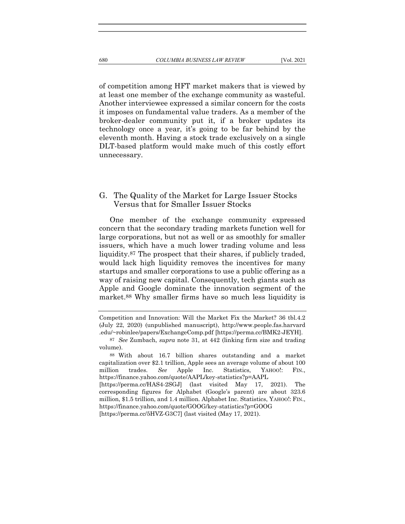of competition among HFT market makers that is viewed by at least one member of the exchange community as wasteful. Another interviewee expressed a similar concern for the costs it imposes on fundamental value traders. As a member of the broker-dealer community put it, if a broker updates its technology once a year, it's going to be far behind by the eleventh month. Having a stock trade exclusively on a single DLT-based platform would make much of this costly effort unnecessary.

## G. The Quality of the Market for Large Issuer Stocks Versus that for Smaller Issuer Stocks

One member of the exchange community expressed concern that the secondary trading markets function well for large corporations, but not as well or as smoothly for smaller issuers, which have a much lower trading volume and less liquidity.87 The prospect that their shares, if publicly traded, would lack high liquidity removes the incentives for many startups and smaller corporations to use a public offering as a way of raising new capital. Consequently, tech giants such as Apple and Google dominate the innovation segment of the market.88 Why smaller firms have so much less liquidity is

Competition and Innovation: Will the Market Fix the Market? 36 tbl.4.2 (July 22, 2020) (unpublished manuscript), http://www.people.fas.harvard .edu/~robinlee/papers/ExchangeComp.pdf [https://perma.cc/BMK2-JEYH].

<sup>87</sup> See Zumbach, supra note 31, at 442 (linking firm size and trading volume).

<sup>88</sup> With about 16.7 billion shares outstanding and a market capitalization over \$2.1 trillion, Apple sees an average volume of about 100 million trades. See Apple Inc. Statistics, YAHOO!: FIN., https://finance.yahoo.com/quote/AAPL/key-statistics?p=AAPL [https://perma.cc/HAS4-2SGJ] (last visited May 17, 2021). The corresponding figures for Alphabet (Google's parent) are about 323.6 million, \$1.5 trillion, and 1.4 million. Alphabet Inc. Statistics, YAHOO!: FIN., https://finance.yahoo.com/quote/GOOG/key-statistics?p=GOOG

<sup>[</sup>https://perma.cc/5HVZ-G3C7] (last visited (May 17, 2021).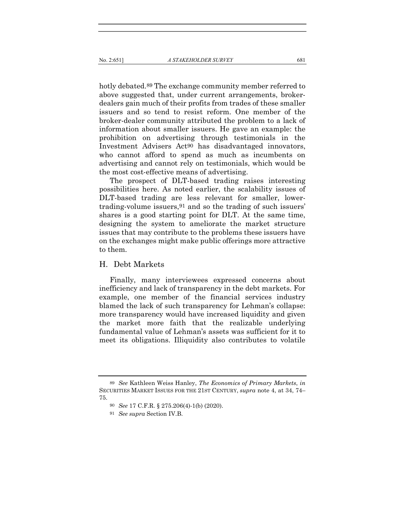hotly debated.89 The exchange community member referred to above suggested that, under current arrangements, brokerdealers gain much of their profits from trades of these smaller issuers and so tend to resist reform. One member of the broker-dealer community attributed the problem to a lack of information about smaller issuers. He gave an example: the prohibition on advertising through testimonials in the Investment Advisers Act90 has disadvantaged innovators, who cannot afford to spend as much as incumbents on advertising and cannot rely on testimonials, which would be the most cost-effective means of advertising.

The prospect of DLT-based trading raises interesting possibilities here. As noted earlier, the scalability issues of DLT-based trading are less relevant for smaller, lowertrading-volume issuers,91 and so the trading of such issuers' shares is a good starting point for DLT. At the same time, designing the system to ameliorate the market structure issues that may contribute to the problems these issuers have on the exchanges might make public offerings more attractive to them.

#### H. Debt Markets

Finally, many interviewees expressed concerns about inefficiency and lack of transparency in the debt markets. For example, one member of the financial services industry blamed the lack of such transparency for Lehman's collapse: more transparency would have increased liquidity and given the market more faith that the realizable underlying fundamental value of Lehman's assets was sufficient for it to meet its obligations. Illiquidity also contributes to volatile

<sup>89</sup> See Kathleen Weiss Hanley, The Economics of Primary Markets, in SECURITIES MARKET ISSUES FOR THE 21ST CENTURY, supra note 4, at 34, 74– 75.

<sup>90</sup> See 17 C.F.R. § 275.206(4)-1(b) (2020).

<sup>91</sup> See supra Section IV.B.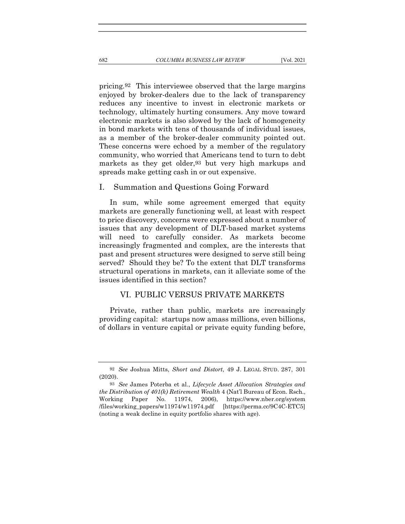pricing.92 This interviewee observed that the large margins enjoyed by broker-dealers due to the lack of transparency reduces any incentive to invest in electronic markets or technology, ultimately hurting consumers. Any move toward electronic markets is also slowed by the lack of homogeneity in bond markets with tens of thousands of individual issues, as a member of the broker-dealer community pointed out. These concerns were echoed by a member of the regulatory community, who worried that Americans tend to turn to debt markets as they get older,93 but very high markups and spreads make getting cash in or out expensive.

#### I. Summation and Questions Going Forward

In sum, while some agreement emerged that equity markets are generally functioning well, at least with respect to price discovery, concerns were expressed about a number of issues that any development of DLT-based market systems will need to carefully consider. As markets become increasingly fragmented and complex, are the interests that past and present structures were designed to serve still being served? Should they be? To the extent that DLT transforms structural operations in markets, can it alleviate some of the issues identified in this section?

## VI. PUBLIC VERSUS PRIVATE MARKETS

Private, rather than public, markets are increasingly providing capital: startups now amass millions, even billions, of dollars in venture capital or private equity funding before,

<sup>92</sup> See Joshua Mitts, Short and Distort, 49 J. LEGAL STUD. 287, 301 (2020).

<sup>93</sup> See James Poterba et al., Lifecycle Asset Allocation Strategies and the Distribution of 401(k) Retirement Wealth 4 (Nat'l Bureau of Econ. Rsch., Working Paper No. 11974, 2006), https://www.nber.org/system /files/working\_papers/w11974/w11974.pdf [https://perma.cc/9C4C-ETC5] (noting a weak decline in equity portfolio shares with age).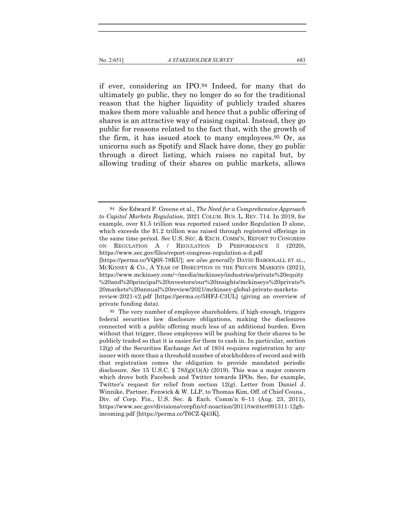if ever, considering an IPO.94 Indeed, for many that do ultimately go public, they no longer do so for the traditional reason that the higher liquidity of publicly traded shares makes them more valuable and hence that a public offering of shares is an attractive way of raising capital. Instead, they go public for reasons related to the fact that, with the growth of the firm, it has issued stock to many employees.95 Or, as unicorns such as Spotify and Slack have done, they go public through a direct listing, which raises no capital but, by allowing trading of their shares on public markets, allows

 $94$  See Edward F. Greene et al., The Need for a Comprehensive Approach to Capital Markets Regulation, 2021 COLUM. BUS. L. REV. 714. In 2019, for example, over \$1.5 trillion was reported raised under Regulation D alone, which exceeds the \$1.2 trillion was raised through registered offerings in the same time period. See U.S. SEC. & EXCH. COMM'N, REPORT TO CONGRESS ON REGULATION A / REGULATION D PERFORMANCE 3 (2020), https://www.sec.gov/files/report-congress-regulation-a-d.pdf [https://perma.cc/VQ6S-78KU]; see also generally DAVID BABOOLALL ET AL.,

MCKINSEY & CO., A YEAR OF DISRUPTION IN THE PRIVATE MARKETS (2021), https://www.mckinsey.com/~/media/mckinsey/industries/private%20equity %20and%20principal%20investors/our%20insights/mckinseys%20private% 20markets%20annual%20review/2021/mckinsey-global-private-marketsreview-2021-v2.pdf [https://perma.cc/5HFJ-C3UL] (giving an overview of private funding data).

<sup>95</sup> The very number of employee shareholders, if high enough, triggers federal securities law disclosure obligations, making the disclosures connected with a public offering much less of an additional burden. Even without that trigger, these employees will be pushing for their shares to be publicly traded so that it is easier for them to cash in. In particular, section 12(g) of the Securities Exchange Act of 1934 requires registration by any issuer with more than a threshold number of stockholders of record and with that registration comes the obligation to provide mandated periodic disclosure. See 15 U.S.C. §  $78l(g)(1)(A)$  (2019). This was a major concern which drove both Facebook and Twitter towards IPOs. See, for example, Twitter's request for relief from section 12(g). Letter from Daniel J. Winnike, Partner, Fenwick & W. LLP, to Thomas Kim, Off. of Chief Couns., Div. of Corp. Fin., U.S. Sec. & Exch. Comm'n 6–11 (Aug. 23, 2011), https://www.sec.gov/divisions/corpfin/cf-noaction/2011/twitter091311-12ghincoming.pdf [https://perma.cc/T6CZ-Q43K].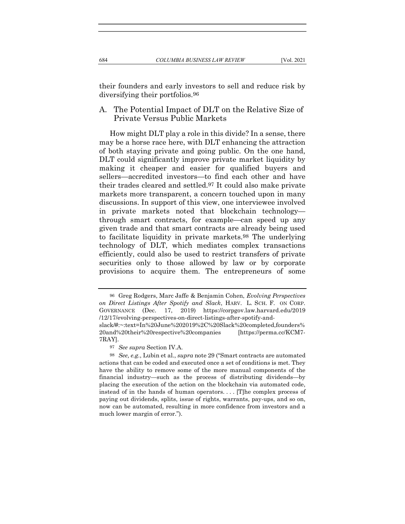their founders and early investors to sell and reduce risk by diversifying their portfolios.96

## A. The Potential Impact of DLT on the Relative Size of Private Versus Public Markets

How might DLT play a role in this divide? In a sense, there may be a horse race here, with DLT enhancing the attraction of both staying private and going public. On the one hand, DLT could significantly improve private market liquidity by making it cheaper and easier for qualified buyers and sellers—accredited investors—to find each other and have their trades cleared and settled.97 It could also make private markets more transparent, a concern touched upon in many discussions. In support of this view, one interviewee involved in private markets noted that blockchain technology through smart contracts, for example—can speed up any given trade and that smart contracts are already being used to facilitate liquidity in private markets.98 The underlying technology of DLT, which mediates complex transactions efficiently, could also be used to restrict transfers of private securities only to those allowed by law or by corporate provisions to acquire them. The entrepreneurs of some

<sup>96</sup> Greg Rodgers, Marc Jaffe & Benjamin Cohen, Evolving Perspectives on Direct Listings After Spotify and Slack, HARV. L. SCH. F. ON CORP. GOVERNANCE (Dec. 17, 2019) https://corpgov.law.harvard.edu/2019 /12/17/evolving-perspectives-on-direct-listings-after-spotify-and-

slack/#:~:text=In%20June%202019%2C%20Slack%20completed,founders% 20and%20their%20respective%20companies [https://perma.cc/KCM7- 7RAY].

<sup>97</sup> See supra Section IV.A.

<sup>98</sup> See, e.g., Lubin et al., supra note 29 ("Smart contracts are automated actions that can be coded and executed once a set of conditions is met. They have the ability to remove some of the more manual components of the financial industry—such as the process of distributing dividends—by placing the execution of the action on the blockchain via automated code, instead of in the hands of human operators. . . . [T]he complex process of paying out dividends, splits, issue of rights, warrants, pay-ups, and so on, now can be automated, resulting in more confidence from investors and a much lower margin of error.").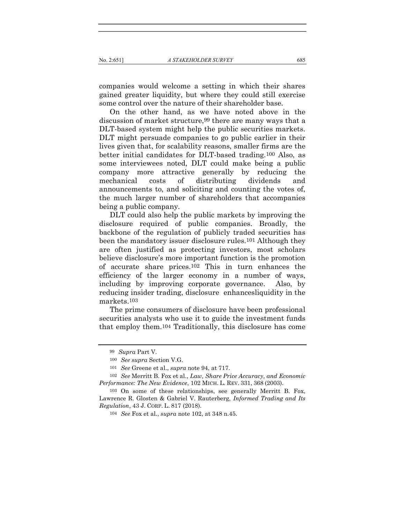companies would welcome a setting in which their shares gained greater liquidity, but where they could still exercise some control over the nature of their shareholder base.

On the other hand, as we have noted above in the discussion of market structure,99 there are many ways that a DLT-based system might help the public securities markets. DLT might persuade companies to go public earlier in their lives given that, for scalability reasons, smaller firms are the better initial candidates for DLT-based trading.100 Also, as some interviewees noted, DLT could make being a public company more attractive generally by reducing the mechanical costs of distributing dividends and announcements to, and soliciting and counting the votes of, the much larger number of shareholders that accompanies being a public company.

DLT could also help the public markets by improving the disclosure required of public companies. Broadly, the backbone of the regulation of publicly traded securities has been the mandatory issuer disclosure rules.101 Although they are often justified as protecting investors, most scholars believe disclosure's more important function is the promotion of accurate share prices.102 This in turn enhances the efficiency of the larger economy in a number of ways, including by improving corporate governance. Also, by reducing insider trading, disclosure enhancesliquidity in the markets.103

The prime consumers of disclosure have been professional securities analysts who use it to guide the investment funds that employ them.104 Traditionally, this disclosure has come

<sup>99</sup> Supra Part V.

<sup>100</sup> See supra Section V.G.

<sup>101</sup> See Greene et al., supra note 94, at 717.

<sup>102</sup> See Merritt B. Fox et al., Law, Share Price Accuracy, and Economic Performance: The New Evidence, 102 MICH. L. REV. 331, 368 (2003).

<sup>103</sup> On some of these relationships, see generally Merritt B. Fox, Lawrence R. Glosten & Gabriel V. Rauterberg, *Informed Trading and Its* Regulation, 43 J. CORP. L. 817 (2018).

<sup>104</sup> See Fox et al., supra note 102, at 348 n.45.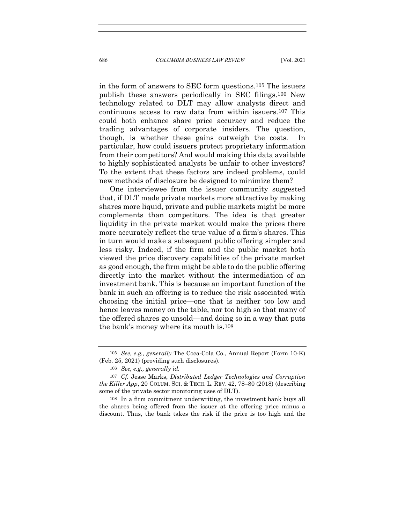in the form of answers to SEC form questions.105 The issuers publish these answers periodically in SEC filings.106 New technology related to DLT may allow analysts direct and continuous access to raw data from within issuers.107 This could both enhance share price accuracy and reduce the trading advantages of corporate insiders. The question, though, is whether these gains outweigh the costs. In particular, how could issuers protect proprietary information from their competitors? And would making this data available to highly sophisticated analysts be unfair to other investors? To the extent that these factors are indeed problems, could new methods of disclosure be designed to minimize them?

One interviewee from the issuer community suggested that, if DLT made private markets more attractive by making shares more liquid, private and public markets might be more complements than competitors. The idea is that greater liquidity in the private market would make the prices there more accurately reflect the true value of a firm's shares. This in turn would make a subsequent public offering simpler and less risky. Indeed, if the firm and the public market both viewed the price discovery capabilities of the private market as good enough, the firm might be able to do the public offering directly into the market without the intermediation of an investment bank. This is because an important function of the bank in such an offering is to reduce the risk associated with choosing the initial price—one that is neither too low and hence leaves money on the table, nor too high so that many of the offered shares go unsold—and doing so in a way that puts the bank's money where its mouth is.108

<sup>105</sup> See, e.g., generally The Coca-Cola Co., Annual Report (Form 10-K) (Feb. 25, 2021) (providing such disclosures).

<sup>106</sup> See, e.g., generally id.

<sup>107</sup> Cf. Jesse Marks, Distributed Ledger Technologies and Corruption the Killer App, 20 COLUM. SCI. & TECH. L. REV. 42, 78–80 (2018) (describing some of the private sector monitoring uses of DLT).

<sup>108</sup> In a firm commitment underwriting, the investment bank buys all the shares being offered from the issuer at the offering price minus a discount. Thus, the bank takes the risk if the price is too high and the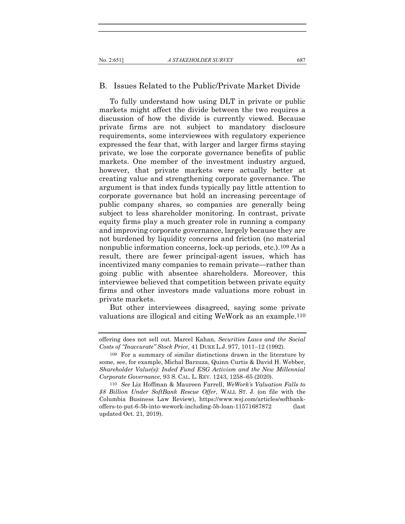## B. Issues Related to the Public/Private Market Divide

To fully understand how using DLT in private or public markets might affect the divide between the two requires a discussion of how the divide is currently viewed. Because private firms are not subject to mandatory disclosure requirements, some interviewees with regulatory experience expressed the fear that, with larger and larger firms staying private, we lose the corporate governance benefits of public markets. One member of the investment industry argued, however, that private markets were actually better at creating value and strengthening corporate governance. The argument is that index funds typically pay little attention to corporate governance but hold an increasing percentage of public company shares, so companies are generally being subject to less shareholder monitoring. In contrast, private equity firms play a much greater role in running a company and improving corporate governance, largely because they are not burdened by liquidity concerns and friction (no material nonpublic information concerns, lock-up periods, etc.).109 As a result, there are fewer principal-agent issues, which has incentivized many companies to remain private—rather than going public with absentee shareholders. Moreover, this interviewee believed that competition between private equity firms and other investors made valuations more robust in private markets.

But other interviewees disagreed, saying some private valuations are illogical and citing WeWork as an example.110

offering does not sell out. Marcel Kahan, Securities Laws and the Social Costs of "Inaccurate" Stock Price, 41 DUKE L.J. 977, 1011–12 (1992).

<sup>109</sup> For a summary of similar distinctions drawn in the literature by some, see, for example, Michal Barzuza, Quinn Curtis & David H. Webber, Shareholder Value(s): Inded Fund ESG Activism and the New Millennial Corporate Governance, 93 S. CAL. L. REV. 1243, 1258–65 (2020).

<sup>110</sup> See Liz Hoffman & Maureen Farrell, WeWork's Valuation Falls to \$8 Billion Under SoftBank Rescue Offer, WALL ST. J. (on file with the Columbia Business Law Review), https://www.wsj.com/articles/softbankoffers-to-put-6-5b-into-wework-including-5b-loan-11571687872 (last updated Oct. 21, 2019).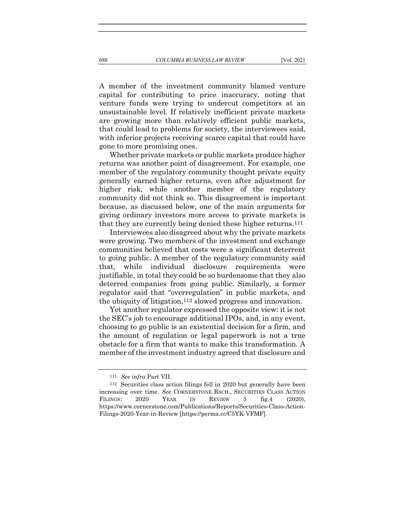A member of the investment community blamed venture capital for contributing to price inaccuracy, noting that venture funds were trying to undercut competitors at an unsustainable level. If relatively inefficient private markets are growing more than relatively efficient public markets, that could lead to problems for society, the interviewees said, with inferior projects receiving scarce capital that could have gone to more promising ones.

Whether private markets or public markets produce higher returns was another point of disagreement. For example, one member of the regulatory community thought private equity generally earned higher returns, even after adjustment for higher risk, while another member of the regulatory community did not think so. This disagreement is important because, as discussed below, one of the main arguments for giving ordinary investors more access to private markets is that they are currently being denied these higher returns.111

Interviewees also disagreed about why the private markets were growing. Two members of the investment and exchange communities believed that costs were a significant deterrent to going public. A member of the regulatory community said that, while individual disclosure requirements were justifiable, in total they could be so burdensome that they also deterred companies from going public. Similarly, a former regulator said that "overregulation" in public markets, and the ubiquity of litigation,112 slowed progress and innovation.

Yet another regulator expressed the opposite view: it is not the SEC's job to encourage additional IPOs, and, in any event, choosing to go public is an existential decision for a firm, and the amount of regulation or legal paperwork is not a true obstacle for a firm that wants to make this transformation. A member of the investment industry agreed that disclosure and

<sup>111</sup> See infra Part VII.

<sup>112</sup> Securities class action filings fell in 2020 but generally have been increasing over time. See CORNERSTONE RSCH., SECURITIES CLASS ACTION FILINGS: 2020 YEAR IN REVIEW 5 fig.4 (2020), https://www.cornerstone.com/Publications/Reports/Securities-Class-Action-Filings-2020-Year-in-Review [https://perma.cc/C5YK-VFMF].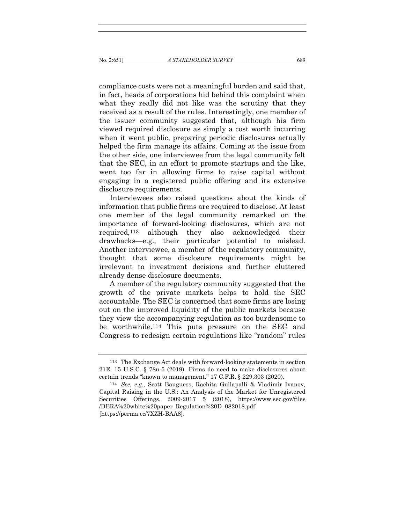compliance costs were not a meaningful burden and said that, in fact, heads of corporations hid behind this complaint when what they really did not like was the scrutiny that they received as a result of the rules. Interestingly, one member of the issuer community suggested that, although his firm viewed required disclosure as simply a cost worth incurring when it went public, preparing periodic disclosures actually helped the firm manage its affairs. Coming at the issue from the other side, one interviewee from the legal community felt that the SEC, in an effort to promote startups and the like, went too far in allowing firms to raise capital without engaging in a registered public offering and its extensive disclosure requirements.

Interviewees also raised questions about the kinds of information that public firms are required to disclose. At least one member of the legal community remarked on the importance of forward-looking disclosures, which are not required,113 although they also acknowledged their drawbacks—e.g., their particular potential to mislead. Another interviewee, a member of the regulatory community, thought that some disclosure requirements might be irrelevant to investment decisions and further cluttered already dense disclosure documents.

A member of the regulatory community suggested that the growth of the private markets helps to hold the SEC accountable. The SEC is concerned that some firms are losing out on the improved liquidity of the public markets because they view the accompanying regulation as too burdensome to be worthwhile.114 This puts pressure on the SEC and Congress to redesign certain regulations like "random" rules

<sup>113</sup> The Exchange Act deals with forward-looking statements in section 21E. 15 U.S.C. § 78u-5 (2019). Firms do need to make disclosures about certain trends "known to management." 17 C.F.R. § 229.303 (2020).

<sup>114</sup> See, e.g., Scott Bauguess, Rachita Gullapalli & Vladimir Ivanov, Capital Raising in the U.S.: An Analysis of the Market for Unregistered Securities Offerings, 2009‐2017 5 (2018), https://www.sec.gov/files /DERA%20white%20paper\_Regulation%20D\_082018.pdf [https://perma.cc/7XZH-BAA8].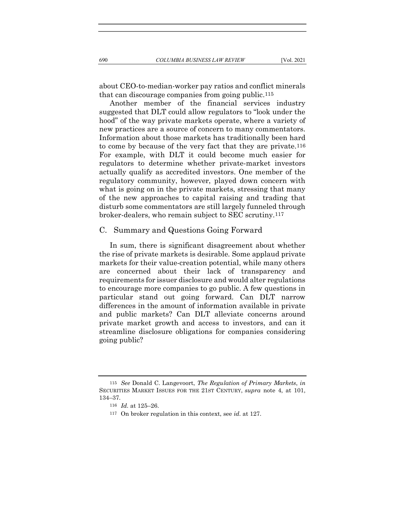about CEO-to-median-worker pay ratios and conflict minerals that can discourage companies from going public.115

Another member of the financial services industry suggested that DLT could allow regulators to "look under the hood" of the way private markets operate, where a variety of new practices are a source of concern to many commentators. Information about those markets has traditionally been hard to come by because of the very fact that they are private.116 For example, with DLT it could become much easier for regulators to determine whether private-market investors actually qualify as accredited investors. One member of the regulatory community, however, played down concern with what is going on in the private markets, stressing that many of the new approaches to capital raising and trading that disturb some commentators are still largely funneled through broker-dealers, who remain subject to SEC scrutiny.117

#### C. Summary and Questions Going Forward

In sum, there is significant disagreement about whether the rise of private markets is desirable. Some applaud private markets for their value-creation potential, while many others are concerned about their lack of transparency and requirements for issuer disclosure and would alter regulations to encourage more companies to go public. A few questions in particular stand out going forward. Can DLT narrow differences in the amount of information available in private and public markets? Can DLT alleviate concerns around private market growth and access to investors, and can it streamline disclosure obligations for companies considering going public?

<sup>115</sup> See Donald C. Langevoort, The Regulation of Primary Markets, in SECURITIES MARKET ISSUES FOR THE 21ST CENTURY, supra note 4, at 101, 134–37.

<sup>116</sup> Id. at 125–26.

<sup>117</sup> On broker regulation in this context, see id. at 127.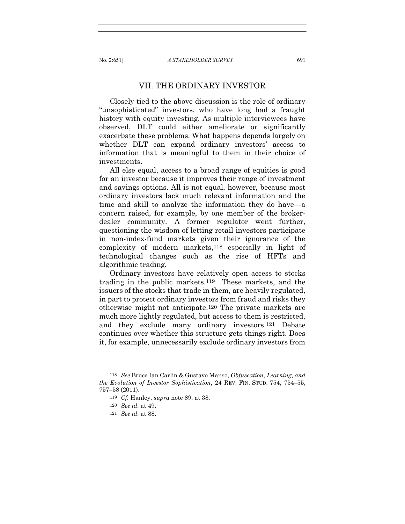#### VII. THE ORDINARY INVESTOR

Closely tied to the above discussion is the role of ordinary "unsophisticated" investors, who have long had a fraught history with equity investing. As multiple interviewees have observed, DLT could either ameliorate or significantly exacerbate these problems. What happens depends largely on whether DLT can expand ordinary investors' access to information that is meaningful to them in their choice of investments.

All else equal, access to a broad range of equities is good for an investor because it improves their range of investment and savings options. All is not equal, however, because most ordinary investors lack much relevant information and the time and skill to analyze the information they do have—a concern raised, for example, by one member of the brokerdealer community. A former regulator went further, questioning the wisdom of letting retail investors participate in non-index-fund markets given their ignorance of the complexity of modern markets,118 especially in light of technological changes such as the rise of HFTs and algorithmic trading.

Ordinary investors have relatively open access to stocks trading in the public markets.119 These markets, and the issuers of the stocks that trade in them, are heavily regulated, in part to protect ordinary investors from fraud and risks they otherwise might not anticipate.120 The private markets are much more lightly regulated, but access to them is restricted, and they exclude many ordinary investors.121 Debate continues over whether this structure gets things right. Does it, for example, unnecessarily exclude ordinary investors from

<sup>118</sup> See Bruce Ian Carlin & Gustavo Manso, Obfuscation, Learning, and the Evolution of Investor Sophistication, 24 REV. FIN. STUD. 754, 754–55, 757–58 (2011).

<sup>119</sup> Cf. Hanley, supra note 89, at 38.

<sup>120</sup> See id. at 49.

<sup>121</sup> See id. at 88.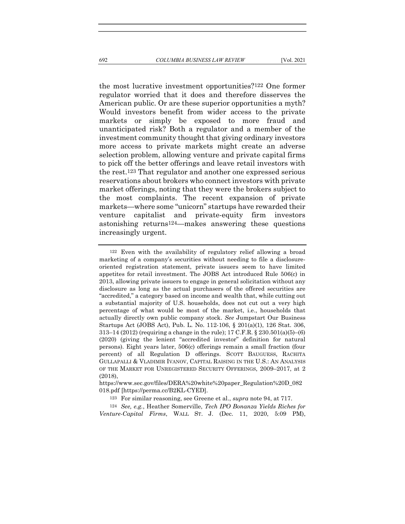the most lucrative investment opportunities?122 One former regulator worried that it does and therefore disserves the American public. Or are these superior opportunities a myth? Would investors benefit from wider access to the private markets or simply be exposed to more fraud and unanticipated risk? Both a regulator and a member of the investment community thought that giving ordinary investors more access to private markets might create an adverse selection problem, allowing venture and private capital firms to pick off the better offerings and leave retail investors with the rest.123 That regulator and another one expressed serious reservations about brokers who connect investors with private market offerings, noting that they were the brokers subject to the most complaints. The recent expansion of private markets—where some "unicorn" startups have rewarded their venture capitalist and private-equity firm investors astonishing returns124—makes answering these questions increasingly urgent.

124 See, e.g., Heather Somerville, Tech IPO Bonanza Yields Riches for Venture-Capital Firms, WALL ST. J. (Dec. 11, 2020, 5:09 PM),

<sup>122</sup> Even with the availability of regulatory relief allowing a broad marketing of a company's securities without needing to file a disclosureoriented registration statement, private issuers seem to have limited appetites for retail investment. The JOBS Act introduced Rule 506(c) in 2013, allowing private issuers to engage in general solicitation without any disclosure as long as the actual purchasers of the offered securities are "accredited," a category based on income and wealth that, while cutting out a substantial majority of U.S. households, does not cut out a very high percentage of what would be most of the market, i.e., households that actually directly own public company stock. See Jumpstart Our Business Startups Act (JOBS Act), Pub. L. No. 112-106, § 201(a)(1), 126 Stat. 306, 313–14 (2012) (requiring a change in the rule); 17 C.F.R. § 230.501(a)(5)–(6) (2020) (giving the lenient "accredited investor" definition for natural persons). Eight years later, 506(c) offerings remain a small fraction (four percent) of all Regulation D offerings. SCOTT BAUGUESS, RACHITA GULLAPALLI & VLADIMIR IVANOV, CAPITAL RAISING IN THE U.S.: AN ANALYSIS OF THE MARKET FOR UNREGISTERED SECURITY OFFERINGS, 2009–2017, at 2 (2018),

https://www.sec.gov/files/DERA%20white%20paper\_Regulation%20D\_082 018.pdf [https://perma.cc/B2KL-CYED].

<sup>123</sup> For similar reasoning, see Greene et al., supra note 94, at 717.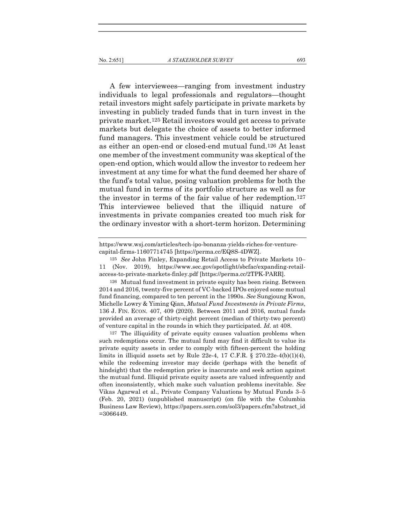A few interviewees—ranging from investment industry individuals to legal professionals and regulators—thought retail investors might safely participate in private markets by investing in publicly traded funds that in turn invest in the private market.125 Retail investors would get access to private markets but delegate the choice of assets to better informed fund managers. This investment vehicle could be structured as either an open-end or closed-end mutual fund.126 At least one member of the investment community was skeptical of the open-end option, which would allow the investor to redeem her investment at any time for what the fund deemed her share of the fund's total value, posing valuation problems for both the mutual fund in terms of its portfolio structure as well as for the investor in terms of the fair value of her redemption.127 This interviewee believed that the illiquid nature of investments in private companies created too much risk for the ordinary investor with a short-term horizon. Determining

https://www.wsj.com/articles/tech-ipo-bonanza-yields-riches-for-venturecapital-firms-11607714745 [https://perma.cc/EQ8S-4DWZ].

126 Mutual fund investment in private equity has been rising. Between 2014 and 2016, twenty-five percent of VC-backed IPOs enjoyed some mutual fund financing, compared to ten percent in the 1990s. See Sungjoung Kwon, Michelle Lowry & Yiming Qian, Mutual Fund Investments in Private Firms, 136 J. FIN. ECON. 407, 409 (2020). Between 2011 and 2016, mutual funds provided an average of thirty-eight percent (median of thirty-two percent) of venture capital in the rounds in which they participated. Id. at 408.

127 The illiquidity of private equity causes valuation problems when such redemptions occur. The mutual fund may find it difficult to value its private equity assets in order to comply with fifteen-percent the holding limits in illiquid assets set by Rule 22e-4, 17 C.F.R. § 270.22e-4(b)(1)(4), while the redeeming investor may decide (perhaps with the benefit of hindsight) that the redemption price is inaccurate and seek action against the mutual fund. Illiquid private equity assets are valued infrequently and often inconsistently, which make such valuation problems inevitable. See Vikas Agarwal et al., Private Company Valuations by Mutual Funds 3–5 (Feb. 20, 2021) (unpublished manuscript) (on file with the Columbia Business Law Review), https://papers.ssrn.com/sol3/papers.cfm?abstract\_id =3066449.

<sup>125</sup> See John Finley, Expanding Retail Access to Private Markets 10– 11 (Nov. 2019), https://www.sec.gov/spotlight/sbcfac/expanding-retailaccess-to-private-markets-finley.pdf [https://perma.cc/2TPK-PARR].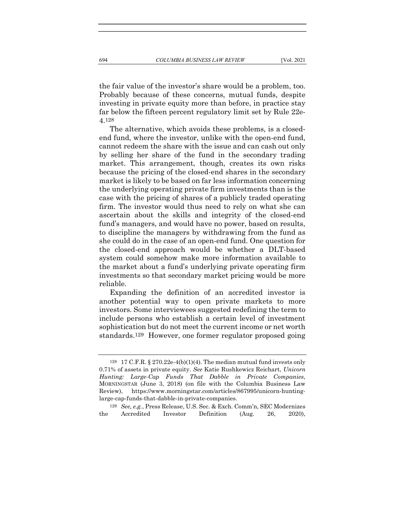the fair value of the investor's share would be a problem, too. Probably because of these concerns, mutual funds, despite investing in private equity more than before, in practice stay far below the fifteen percent regulatory limit set by Rule 22e-4.128

The alternative, which avoids these problems, is a closedend fund, where the investor, unlike with the open-end fund, cannot redeem the share with the issue and can cash out only by selling her share of the fund in the secondary trading market. This arrangement, though, creates its own risks because the pricing of the closed-end shares in the secondary market is likely to be based on far less information concerning the underlying operating private firm investments than is the case with the pricing of shares of a publicly traded operating firm. The investor would thus need to rely on what she can ascertain about the skills and integrity of the closed-end fund's managers, and would have no power, based on results, to discipline the managers by withdrawing from the fund as she could do in the case of an open-end fund. One question for the closed-end approach would be whether a DLT-based system could somehow make more information available to the market about a fund's underlying private operating firm investments so that secondary market pricing would be more reliable.

Expanding the definition of an accredited investor is another potential way to open private markets to more investors. Some interviewees suggested redefining the term to include persons who establish a certain level of investment sophistication but do not meet the current income or net worth standards.129 However, one former regulator proposed going

<sup>128</sup> 17 C.F.R. § 270.22e-4(b)(1)(4). The median mutual fund invests only 0.71% of assets in private equity. See Katie Rushkewicz Reichart, Unicorn Hunting: Large-Cap Funds That Dabble in Private Companies, MORNINGSTAR (June 3, 2018) (on file with the Columbia Business Law Review), https://www.morningstar.com/articles/867995/unicorn-huntinglarge-cap-funds-that-dabble-in-private-companies.

<sup>129</sup> See, e.g., Press Release, U.S. Sec. & Exch. Comm'n, SEC Modernizes the Accredited Investor Definition (Aug. 26, 2020),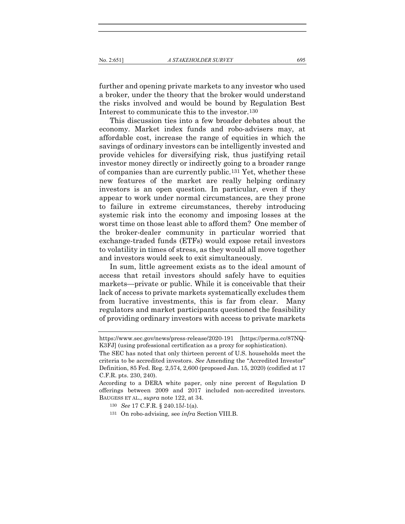further and opening private markets to any investor who used a broker, under the theory that the broker would understand the risks involved and would be bound by Regulation Best Interest to communicate this to the investor.130

This discussion ties into a few broader debates about the economy. Market index funds and robo-advisers may, at affordable cost, increase the range of equities in which the savings of ordinary investors can be intelligently invested and provide vehicles for diversifying risk, thus justifying retail investor money directly or indirectly going to a broader range of companies than are currently public.131 Yet, whether these new features of the market are really helping ordinary investors is an open question. In particular, even if they appear to work under normal circumstances, are they prone to failure in extreme circumstances, thereby introducing systemic risk into the economy and imposing losses at the worst time on those least able to afford them? One member of the broker-dealer community in particular worried that exchange-traded funds (ETFs) would expose retail investors to volatility in times of stress, as they would all move together and investors would seek to exit simultaneously.

In sum, little agreement exists as to the ideal amount of access that retail investors should safely have to equities markets—private or public. While it is conceivable that their lack of access to private markets systematically excludes them from lucrative investments, this is far from clear. Many regulators and market participants questioned the feasibility of providing ordinary investors with access to private markets

- 130 See 17 C.F.R. § 240.15l-1(a).
- 131 On robo-advising, see infra Section VIII.B.

https://www.sec.gov/news/press-release/2020-191 [https://perma.cc/87NQ-K3FJ] (using professional certification as a proxy for sophistication).

The SEC has noted that only thirteen percent of U.S. households meet the criteria to be accredited investors. See Amending the "Accredited Investor" Definition, 85 Fed. Reg. 2,574, 2,600 (proposed Jan. 15, 2020) (codified at 17 C.F.R. pts. 230, 240).

According to a DERA white paper, only nine percent of Regulation D offerings between 2009 and 2017 included non-accredited investors. BAUGESS ET AL., supra note 122, at 34.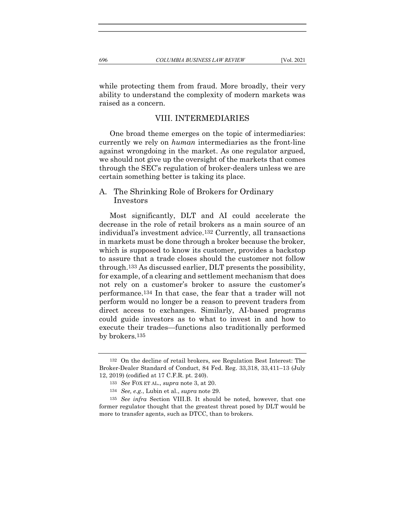while protecting them from fraud. More broadly, their very ability to understand the complexity of modern markets was raised as a concern.

## VIII. INTERMEDIARIES

One broad theme emerges on the topic of intermediaries: currently we rely on human intermediaries as the front-line against wrongdoing in the market. As one regulator argued, we should not give up the oversight of the markets that comes through the SEC's regulation of broker-dealers unless we are certain something better is taking its place.

## A. The Shrinking Role of Brokers for Ordinary Investors

Most significantly, DLT and AI could accelerate the decrease in the role of retail brokers as a main source of an individual's investment advice.132 Currently, all transactions in markets must be done through a broker because the broker, which is supposed to know its customer, provides a backstop to assure that a trade closes should the customer not follow through.133 As discussed earlier, DLT presents the possibility, for example, of a clearing and settlement mechanism that does not rely on a customer's broker to assure the customer's performance.134 In that case, the fear that a trader will not perform would no longer be a reason to prevent traders from direct access to exchanges. Similarly, AI-based programs could guide investors as to what to invest in and how to execute their trades—functions also traditionally performed by brokers.135

<sup>132</sup> On the decline of retail brokers, see Regulation Best Interest: The Broker-Dealer Standard of Conduct, 84 Fed. Reg. 33,318, 33,411–13 (July 12, 2019) (codified at 17 C.F.R. pt. 240).

<sup>133</sup> See FOX ET AL., supra note 3, at 20.

<sup>134</sup> See, e.g., Lubin et al., supra note 29.

<sup>135</sup> See infra Section VIII.B. It should be noted, however, that one former regulator thought that the greatest threat posed by DLT would be more to transfer agents, such as DTCC, than to brokers.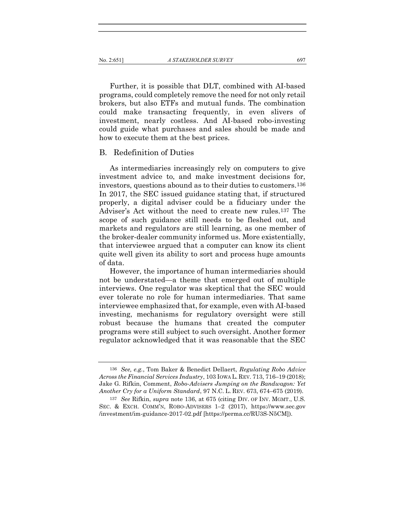Further, it is possible that DLT, combined with AI-based programs, could completely remove the need for not only retail brokers, but also ETFs and mutual funds. The combination could make transacting frequently, in even slivers of investment, nearly costless. And AI-based robo-investing could guide what purchases and sales should be made and how to execute them at the best prices.

## B. Redefinition of Duties

As intermediaries increasingly rely on computers to give investment advice to, and make investment decisions for, investors, questions abound as to their duties to customers.136 In 2017, the SEC issued guidance stating that, if structured properly, a digital adviser could be a fiduciary under the Adviser's Act without the need to create new rules.137 The scope of such guidance still needs to be fleshed out, and markets and regulators are still learning, as one member of the broker-dealer community informed us. More existentially, that interviewee argued that a computer can know its client quite well given its ability to sort and process huge amounts of data.

However, the importance of human intermediaries should not be understated—a theme that emerged out of multiple interviews. One regulator was skeptical that the SEC would ever tolerate no role for human intermediaries. That same interviewee emphasized that, for example, even with AI-based investing, mechanisms for regulatory oversight were still robust because the humans that created the computer programs were still subject to such oversight. Another former regulator acknowledged that it was reasonable that the SEC

<sup>136</sup> See, e.g., Tom Baker & Benedict Dellaert, Regulating Robo Advice Across the Financial Services Industry, 103 IOWA L. REV. 713, 716–19 (2018); Jake G. Rifkin, Comment, Robo-Advisers Jumping on the Bandwagon: Yet Another Cry for a Uniform Standard, 97 N.C. L. REV. 673, 674–675 (2019).

<sup>137</sup> See Rifkin, supra note 136, at 675 (citing DIV. OF INV. MGMT., U.S. SEC. & EXCH. COMM'N, ROBO-ADVISERS 1–2 (2017), https://www.sec.gov /investment/im-guidance-2017-02.pdf [https://perma.cc/RU3S-N5CM]).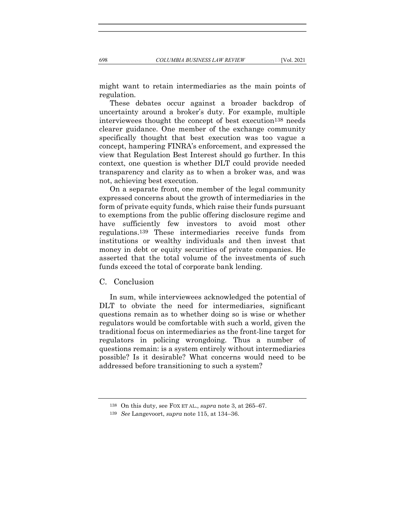might want to retain intermediaries as the main points of regulation.

These debates occur against a broader backdrop of uncertainty around a broker's duty. For example, multiple interviewees thought the concept of best execution138 needs clearer guidance. One member of the exchange community specifically thought that best execution was too vague a concept, hampering FINRA's enforcement, and expressed the view that Regulation Best Interest should go further. In this context, one question is whether DLT could provide needed transparency and clarity as to when a broker was, and was not, achieving best execution.

On a separate front, one member of the legal community expressed concerns about the growth of intermediaries in the form of private equity funds, which raise their funds pursuant to exemptions from the public offering disclosure regime and have sufficiently few investors to avoid most other regulations.139 These intermediaries receive funds from institutions or wealthy individuals and then invest that money in debt or equity securities of private companies. He asserted that the total volume of the investments of such funds exceed the total of corporate bank lending.

C. Conclusion

In sum, while interviewees acknowledged the potential of DLT to obviate the need for intermediaries, significant questions remain as to whether doing so is wise or whether regulators would be comfortable with such a world, given the traditional focus on intermediaries as the front-line target for regulators in policing wrongdoing. Thus a number of questions remain: is a system entirely without intermediaries possible? Is it desirable? What concerns would need to be addressed before transitioning to such a system?

<sup>138</sup> On this duty, see FOX ET AL., supra note 3, at 265–67.

<sup>139</sup> See Langevoort, supra note 115, at 134–36.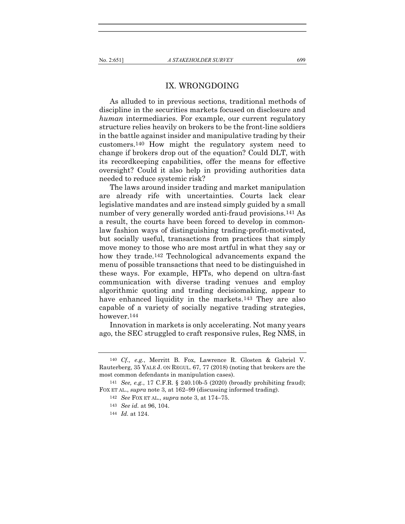## IX. WRONGDOING

As alluded to in previous sections, traditional methods of discipline in the securities markets focused on disclosure and human intermediaries. For example, our current regulatory structure relies heavily on brokers to be the front-line soldiers in the battle against insider and manipulative trading by their customers.140 How might the regulatory system need to change if brokers drop out of the equation? Could DLT, with its recordkeeping capabilities, offer the means for effective oversight? Could it also help in providing authorities data needed to reduce systemic risk?

The laws around insider trading and market manipulation are already rife with uncertainties. Courts lack clear legislative mandates and are instead simply guided by a small number of very generally worded anti-fraud provisions.<sup>141</sup> As a result, the courts have been forced to develop in commonlaw fashion ways of distinguishing trading-profit-motivated, but socially useful, transactions from practices that simply move money to those who are most artful in what they say or how they trade.142 Technological advancements expand the menu of possible transactions that need to be distinguished in these ways. For example, HFTs, who depend on ultra-fast communication with diverse trading venues and employ algorithmic quoting and trading decisiomaking, appear to have enhanced liquidity in the markets.<sup>143</sup> They are also capable of a variety of socially negative trading strategies, however.144

Innovation in markets is only accelerating. Not many years ago, the SEC struggled to craft responsive rules, Reg NMS, in

<sup>140</sup> Cf., e.g., Merritt B. Fox, Lawrence R. Glosten & Gabriel V. Rauterberg, 35 YALE J. ON REGUL. 67, 77 (2018) (noting that brokers are the most common defendants in manipulation cases).

<sup>141</sup> See, e.g., 17 C.F.R. § 240.10b-5 (2020) (broadly prohibiting fraud); FOX ET AL., *supra* note 3, at 162–99 (discussing informed trading).

<sup>142</sup> See FOX ET AL., supra note 3, at 174–75.

<sup>143</sup> See id. at 96, 104.

<sup>144</sup> Id. at 124.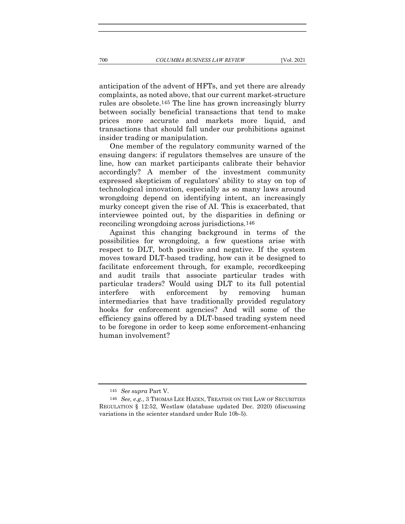anticipation of the advent of HFTs, and yet there are already complaints, as noted above, that our current market-structure rules are obsolete.145 The line has grown increasingly blurry between socially beneficial transactions that tend to make prices more accurate and markets more liquid, and transactions that should fall under our prohibitions against insider trading or manipulation.

One member of the regulatory community warned of the ensuing dangers: if regulators themselves are unsure of the line, how can market participants calibrate their behavior accordingly? A member of the investment community expressed skepticism of regulators' ability to stay on top of technological innovation, especially as so many laws around wrongdoing depend on identifying intent, an increasingly murky concept given the rise of AI. This is exacerbated, that interviewee pointed out, by the disparities in defining or reconciling wrongdoing across jurisdictions.146

Against this changing background in terms of the possibilities for wrongdoing, a few questions arise with respect to DLT, both positive and negative. If the system moves toward DLT-based trading, how can it be designed to facilitate enforcement through, for example, recordkeeping and audit trails that associate particular trades with particular traders? Would using DLT to its full potential interfere with enforcement by removing human intermediaries that have traditionally provided regulatory hooks for enforcement agencies? And will some of the efficiency gains offered by a DLT-based trading system need to be foregone in order to keep some enforcement-enhancing human involvement?

<sup>145</sup> See supra Part V.

<sup>146</sup> See, e.g., 3 THOMAS LEE HAZEN, TREATISE ON THE LAW OF SECURITIES REGULATION § 12:52, Westlaw (database updated Dec. 2020) (discussing variations in the scienter standard under Rule 10b-5).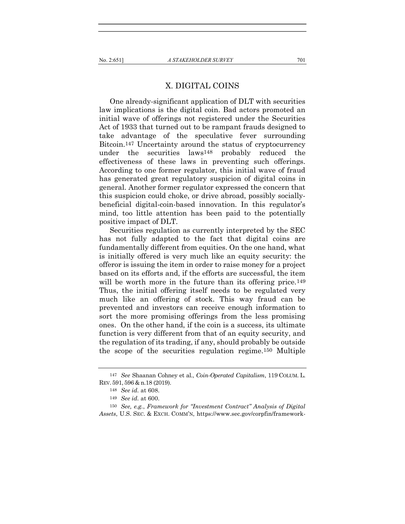## X. DIGITAL COINS

One already-significant application of DLT with securities law implications is the digital coin. Bad actors promoted an initial wave of offerings not registered under the Securities Act of 1933 that turned out to be rampant frauds designed to take advantage of the speculative fever surrounding Bitcoin.147 Uncertainty around the status of cryptocurrency under the securities laws148 probably reduced the effectiveness of these laws in preventing such offerings. According to one former regulator, this initial wave of fraud has generated great regulatory suspicion of digital coins in general. Another former regulator expressed the concern that this suspicion could choke, or drive abroad, possibly sociallybeneficial digital-coin-based innovation. In this regulator's mind, too little attention has been paid to the potentially positive impact of DLT.

Securities regulation as currently interpreted by the SEC has not fully adapted to the fact that digital coins are fundamentally different from equities. On the one hand, what is initially offered is very much like an equity security: the offeror is issuing the item in order to raise money for a project based on its efforts and, if the efforts are successful, the item will be worth more in the future than its offering price.<sup>149</sup> Thus, the initial offering itself needs to be regulated very much like an offering of stock. This way fraud can be prevented and investors can receive enough information to sort the more promising offerings from the less promising ones. On the other hand, if the coin is a success, its ultimate function is very different from that of an equity security, and the regulation of its trading, if any, should probably be outside the scope of the securities regulation regime.150 Multiple

<sup>147</sup> See Shaanan Cohney et al., Coin-Operated Capitalism, 119 COLUM. L. REV. 591, 596 & n.18 (2019).

<sup>148</sup> See id. at 608.

<sup>149</sup> See id. at 600.

<sup>150</sup> See, e.g., Framework for "Investment Contract" Analysis of Digital Assets, U.S. SEC. & EXCH. COMM'N, https://www.sec.gov/corpfin/framework-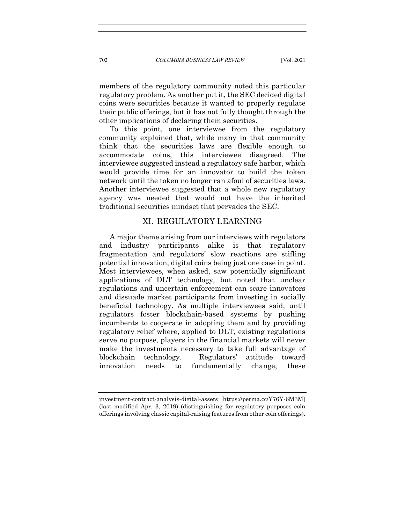members of the regulatory community noted this particular regulatory problem. As another put it, the SEC decided digital coins were securities because it wanted to properly regulate their public offerings, but it has not fully thought through the other implications of declaring them securities.

To this point, one interviewee from the regulatory community explained that, while many in that community think that the securities laws are flexible enough to accommodate coins, this interviewee disagreed. The interviewee suggested instead a regulatory safe harbor, which would provide time for an innovator to build the token network until the token no longer ran afoul of securities laws. Another interviewee suggested that a whole new regulatory agency was needed that would not have the inherited traditional securities mindset that pervades the SEC.

## XI. REGULATORY LEARNING

A major theme arising from our interviews with regulators and industry participants alike is that regulatory fragmentation and regulators' slow reactions are stifling potential innovation, digital coins being just one case in point. Most interviewees, when asked, saw potentially significant applications of DLT technology, but noted that unclear regulations and uncertain enforcement can scare innovators and dissuade market participants from investing in socially beneficial technology. As multiple interviewees said, until regulators foster blockchain-based systems by pushing incumbents to cooperate in adopting them and by providing regulatory relief where, applied to DLT, existing regulations serve no purpose, players in the financial markets will never make the investments necessary to take full advantage of blockchain technology. Regulators' attitude toward innovation needs to fundamentally change, these

investment-contract-analysis-digital-assets [https://perma.cc/Y76Y-6M3M] (last modified Apr. 3, 2019) (distinguishing for regulatory purposes coin offerings involving classic capital-raising features from other coin offerings).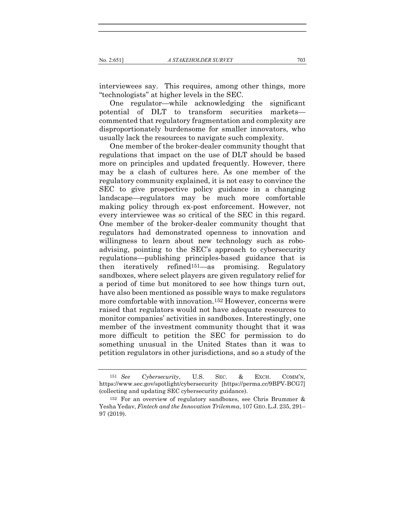interviewees say. This requires, among other things, more "technologists" at higher levels in the SEC.

One regulator—while acknowledging the significant potential of DLT to transform securities markets commented that regulatory fragmentation and complexity are disproportionately burdensome for smaller innovators, who usually lack the resources to navigate such complexity.

One member of the broker-dealer community thought that regulations that impact on the use of DLT should be based more on principles and updated frequently. However, there may be a clash of cultures here. As one member of the regulatory community explained, it is not easy to convince the SEC to give prospective policy guidance in a changing landscape—regulators may be much more comfortable making policy through ex-post enforcement. However, not every interviewee was so critical of the SEC in this regard. One member of the broker-dealer community thought that regulators had demonstrated openness to innovation and willingness to learn about new technology such as roboadvising, pointing to the SEC's approach to cybersecurity regulations—publishing principles-based guidance that is then iteratively refined151—as promising. Regulatory sandboxes, where select players are given regulatory relief for a period of time but monitored to see how things turn out, have also been mentioned as possible ways to make regulators more comfortable with innovation.152 However, concerns were raised that regulators would not have adequate resources to monitor companies' activities in sandboxes. Interestingly, one member of the investment community thought that it was more difficult to petition the SEC for permission to do something unusual in the United States than it was to petition regulators in other jurisdictions, and so a study of the

<sup>151</sup> See Cybersecurity, U.S. SEC. & EXCH. COMM'N, https://www.sec.gov/spotlight/cybersecurity [https://perma.cc/9BPV-BCG7] (collecting and updating SEC cybersecurity guidance).

<sup>152</sup> For an overview of regulatory sandboxes, see Chris Brummer & Yesha Yedav, Fintech and the Innovation Trilemma, 107 GEO.L.J. 235, 291– 97 (2019).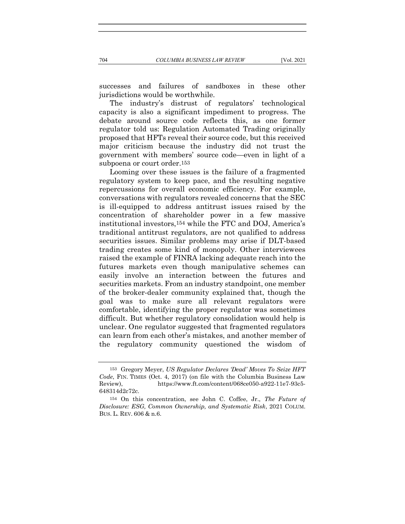successes and failures of sandboxes in these other jurisdictions would be worthwhile.

The industry's distrust of regulators' technological capacity is also a significant impediment to progress. The debate around source code reflects this, as one former regulator told us: Regulation Automated Trading originally proposed that HFTs reveal their source code, but this received major criticism because the industry did not trust the government with members' source code—even in light of a subpoena or court order.153

Looming over these issues is the failure of a fragmented regulatory system to keep pace, and the resulting negative repercussions for overall economic efficiency. For example, conversations with regulators revealed concerns that the SEC is ill-equipped to address antitrust issues raised by the concentration of shareholder power in a few massive institutional investors,154 while the FTC and DOJ, America's traditional antitrust regulators, are not qualified to address securities issues. Similar problems may arise if DLT-based trading creates some kind of monopoly. Other interviewees raised the example of FINRA lacking adequate reach into the futures markets even though manipulative schemes can easily involve an interaction between the futures and securities markets. From an industry standpoint, one member of the broker-dealer community explained that, though the goal was to make sure all relevant regulators were comfortable, identifying the proper regulator was sometimes difficult. But whether regulatory consolidation would help is unclear. One regulator suggested that fragmented regulators can learn from each other's mistakes, and another member of the regulatory community questioned the wisdom of

<sup>153</sup> Gregory Meyer, US Regulator Declares 'Dead' Moves To Seize HFT Code, FIN. TIMES (Oct. 4, 2017) (on file with the Columbia Business Law Review), https://www.ft.com/content/068ce050-a922-11e7-93c5- 648314d2c72c.

<sup>154</sup> On this concentration, see John C. Coffee, Jr., The Future of Disclosure: ESG, Common Ownership, and Systematic Risk, 2021 COLUM. BUS. L. REV. 606 & n.6.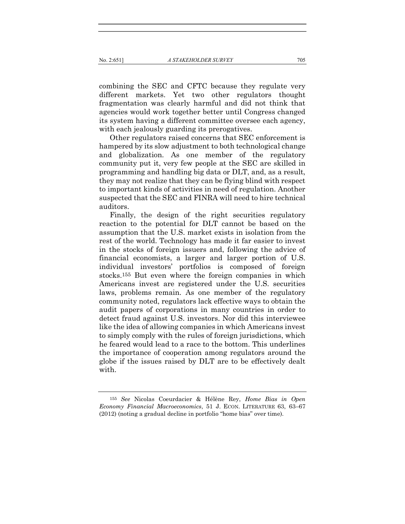#### No. 2:651] A STAKEHOLDER SURVEY 705

combining the SEC and CFTC because they regulate very different markets. Yet two other regulators thought fragmentation was clearly harmful and did not think that agencies would work together better until Congress changed its system having a different committee oversee each agency, with each jealously guarding its prerogatives.

Other regulators raised concerns that SEC enforcement is hampered by its slow adjustment to both technological change and globalization. As one member of the regulatory community put it, very few people at the SEC are skilled in programming and handling big data or DLT, and, as a result, they may not realize that they can be flying blind with respect to important kinds of activities in need of regulation. Another suspected that the SEC and FINRA will need to hire technical auditors.

Finally, the design of the right securities regulatory reaction to the potential for DLT cannot be based on the assumption that the U.S. market exists in isolation from the rest of the world. Technology has made it far easier to invest in the stocks of foreign issuers and, following the advice of financial economists, a larger and larger portion of U.S. individual investors' portfolios is composed of foreign stocks.155 But even where the foreign companies in which Americans invest are registered under the U.S. securities laws, problems remain. As one member of the regulatory community noted, regulators lack effective ways to obtain the audit papers of corporations in many countries in order to detect fraud against U.S. investors. Nor did this interviewee like the idea of allowing companies in which Americans invest to simply comply with the rules of foreign jurisdictions, which he feared would lead to a race to the bottom. This underlines the importance of cooperation among regulators around the globe if the issues raised by DLT are to be effectively dealt with.

<sup>155</sup> See Nicolas Coeurdacier & Hélène Rey, Home Bias in Open Economy Financial Macroeconomics, 51 J. ECON. LITERATURE 63, 63–67 (2012) (noting a gradual decline in portfolio "home bias" over time).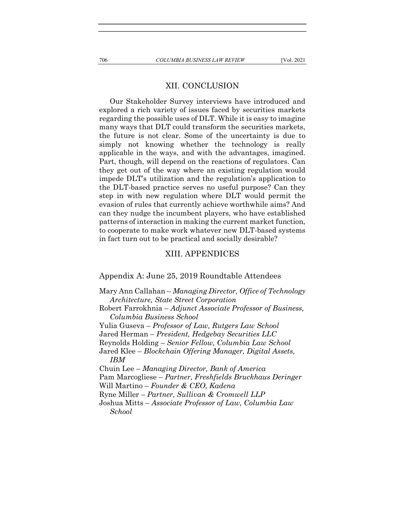## XII. CONCLUSION

Our Stakeholder Survey interviews have introduced and explored a rich variety of issues faced by securities markets regarding the possible uses of DLT. While it is easy to imagine many ways that DLT could transform the securities markets, the future is not clear. Some of the uncertainty is due to simply not knowing whether the technology is really applicable in the ways, and with the advantages, imagined. Part, though, will depend on the reactions of regulators. Can they get out of the way where an existing regulation would impede DLT's utilization and the regulation's application to the DLT-based practice serves no useful purpose? Can they step in with new regulation where DLT would permit the evasion of rules that currently achieve worthwhile aims? And can they nudge the incumbent players, who have established patterns of interaction in making the current market function, to cooperate to make work whatever new DLT-based systems in fact turn out to be practical and socially desirable?

#### XIII. APPENDICES

Appendix A: June 25, 2019 Roundtable Attendees

Mary Ann Callahan – Managing Director, Office of Technology Architecture, State Street Corporation Robert Farrokhnia – Adjunct Associate Professor of Business, Columbia Business School Yulia Guseva – Professor of Law, Rutgers Law School Jared Herman – President, Hedgebay Securities LLC Reynolds Holding – Senior Fellow, Columbia Law School Jared Klee – Blockchain Offering Manager, Digital Assets, IBM Chuin Lee – Managing Director, Bank of America Pam Marcogliese – Partner, Freshfields Bruckhaus Deringer Will Martino – Founder & CEO, Kadena Ryne Miller – Partner, Sullivan & Cromwell LLP Joshua Mitts – Associate Professor of Law, Columbia Law School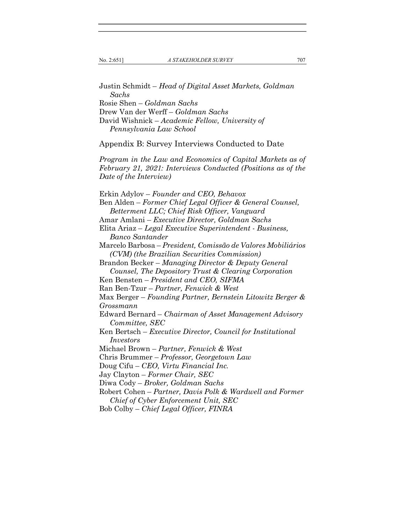Justin Schmidt – Head of Digital Asset Markets, Goldman Sachs Rosie Shen – Goldman Sachs Drew Van der Werff – Goldman Sachs David Wishnick – Academic Fellow, University of Pennsylvania Law School Appendix B: Survey Interviews Conducted to Date Program in the Law and Economics of Capital Markets as of February 21, 2021: Interviews Conducted (Positions as of the Date of the Interview) Erkin Adylov – Founder and CEO, Behavox Ben Alden – Former Chief Legal Officer & General Counsel, Betterment LLC; Chief Risk Officer, Vanguard Amar Amlani – Executive Director, Goldman Sachs Elita Ariaz – Legal Executive Superintendent - Business, Banco Santander Marcelo Barbosa – President, Comissão de Valores Mobiliários (CVM) (the Brazilian Securities Commission) Brandon Becker – Managing Director & Deputy General Counsel, The Depository Trust & Clearing Corporation Ken Bensten – President and CEO, SIFMA Ran Ben-Tzur – Partner, Fenwick & West Max Berger – Founding Partner, Bernstein Litowitz Berger & Grossmann Edward Bernard – Chairman of Asset Management Advisory Committee, SEC Ken Bertsch – Executive Director, Council for Institutional Investors Michael Brown – Partner, Fenwick & West Chris Brummer – Professor, Georgetown Law Doug Cifu – CEO, Virtu Financial Inc. Jay Clayton – Former Chair, SEC Diwa Cody – Broker, Goldman Sachs Robert Cohen – Partner, Davis Polk & Wardwell and Former Chief of Cyber Enforcement Unit, SEC Bob Colby – Chief Legal Officer, FINRA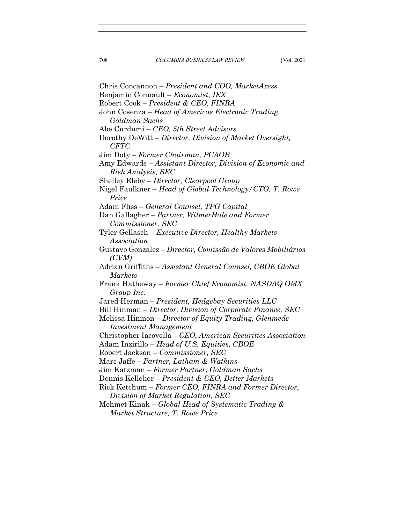Chris Concannon – President and COO, MarketAxess Benjamin Connault – Economist, IEX Robert Cook – President & CEO, FINRA John Cosenza – Head of Americas Electronic Trading, Goldman Sachs Abe Curdumi – CEO, 5th Street Advisors Dorothy DeWitt – Director, Division of Market Oversight, CFTC Jim Doty – Former Chairman, PCAOB Amy Edwards – Assistant Director, Division of Economic and Risk Analysis, SEC Shelley Eleby – Director, Clearpool Group Nigel Faulkner – Head of Global Technology/CTO, T. Rowe Price Adam Fliss – General Counsel, TPG Capital Dan Gallagher – Partner, WilmerHale and Former Commissioner, SEC Tyler Gellasch – Executive Director, Healthy Markets Association Gustavo Gonzalez – Director, Comissão de Valores Mobiliários (CVM) Adrian Griffiths – Assistant General Counsel, CBOE Global Markets Frank Hatheway – Former Chief Economist, NASDAQ OMX Group Inc. Jared Herman – President, Hedgebay Securities LLC Bill Hinman – Director, Division of Corporate Finance, SEC Melissa Hinmon – Director of Equity Trading, Glenmede Investment Management Christopher Iacovella – CEO, American Securities Association Adam Inzirillo – Head of U.S. Equities, CBOE Robert Jackson – Commissioner, SEC Marc Jaffe – Partner, Latham & Watkins Jim Katzman – Former Partner, Goldman Sachs Dennis Kelleher – President & CEO, Better Markets Rick Ketchum – Former CEO, FINRA and Former Director, Division of Market Regulation, SEC Mehmet Kinak – Global Head of Systematic Trading & Market Structure, T. Rowe Price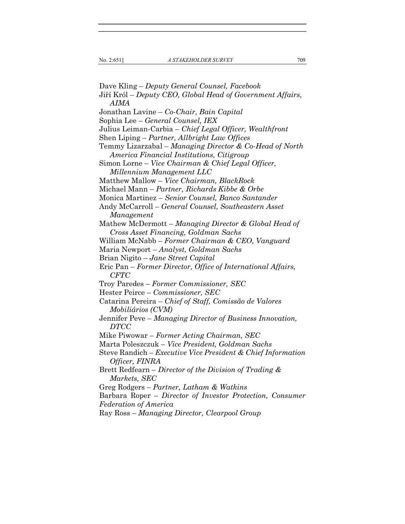Dave Kling – Deputy General Counsel, Facebook Jiří Król – Deputy CEO, Global Head of Government Affairs, AIMA Jonathan Lavine – Co-Chair, Bain Capital Sophia Lee – General Counsel, IEX Julius Leiman-Carbia – Chief Legal Officer, Wealthfront Shen Liping – Partner, Allbright Law Offices Temmy Lizarzabal – Managing Director & Co-Head of North America Financial Institutions, Citigroup Simon Lorne – Vice Chairman & Chief Legal Officer, Millennium Management LLC Matthew Mallow – Vice Chairman, BlackRock Michael Mann – Partner, Richards Kibbe & Orbe Monica Martinez – Senior Counsel, Banco Santander Andy McCarroll – General Counsel, Southeastern Asset Management Mathew McDermott – Managing Director & Global Head of Cross Asset Financing, Goldman Sachs William McNabb – Former Chairman & CEO, Vanguard Maria Newport – Analyst, Goldman Sachs Brian Nigito – Jane Street Capital Eric Pan – Former Director, Office of International Affairs, CFTC Troy Paredes – Former Commissioner, SEC Hester Peirce – Commissioner, SEC Catarina Pereira – Chief of Staff, Comissão de Valores Mobiliários (CVM) Jennifer Peve – Managing Director of Business Innovation, DTCC Mike Piwowar – Former Acting Chairman, SEC Marta Poleszczuk – Vice President, Goldman Sachs Steve Randich – Executive Vice President & Chief Information Officer, FINRA Brett Redfearn – Director of the Division of Trading & Markets, SEC Greg Rodgers – Partner, Latham & Watkins Barbara Roper – Director of Investor Protection, Consumer Federation of America Ray Ross – Managing Director, Clearpool Group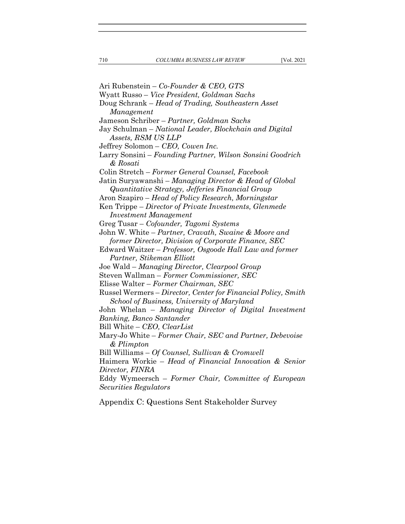Ari Rubenstein – Co-Founder & CEO, GTS Wyatt Russo – Vice President, Goldman Sachs Doug Schrank – Head of Trading, Southeastern Asset Management Jameson Schriber – Partner, Goldman Sachs Jay Schulman – National Leader, Blockchain and Digital Assets, RSM US LLP Jeffrey Solomon – CEO, Cowen Inc. Larry Sonsini – Founding Partner, Wilson Sonsini Goodrich & Rosati Colin Stretch – Former General Counsel, Facebook Jatin Suryawanshi – Managing Director & Head of Global Quantitative Strategy, Jefferies Financial Group Aron Szapiro – Head of Policy Research, Morningstar Ken Trippe – Director of Private Investments, Glenmede Investment Management Greg Tusar – Cofounder, Tagomi Systems John W. White – Partner, Cravath, Swaine & Moore and former Director, Division of Corporate Finance, SEC Edward Waitzer – Professor, Osgoode Hall Law and former Partner, Stikeman Elliott Joe Wald – Managing Director, Clearpool Group Steven Wallman – Former Commissioner, SEC Elisse Walter – Former Chairman, SEC Russel Wermers – Director, Center for Financial Policy, Smith School of Business, University of Maryland John Whelan – Managing Director of Digital Investment Banking, Banco Santander Bill White – CEO, ClearList Mary-Jo White – Former Chair, SEC and Partner, Debevoise & Plimpton Bill Williams – Of Counsel, Sullivan & Cromwell Haimera Workie – Head of Financial Innovation & Senior Director, FINRA Eddy Wymeersch – Former Chair, Committee of European Securities Regulators

Appendix C: Questions Sent Stakeholder Survey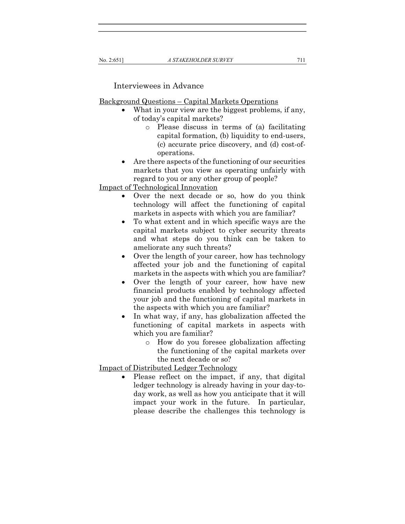Interviewees in Advance

Background Questions – Capital Markets Operations

- What in your view are the biggest problems, if any, of today's capital markets?
	- o Please discuss in terms of (a) facilitating capital formation, (b) liquidity to end-users, (c) accurate price discovery, and (d) cost-ofoperations.
- Are there aspects of the functioning of our securities markets that you view as operating unfairly with regard to you or any other group of people?

Impact of Technological Innovation

- Over the next decade or so, how do you think technology will affect the functioning of capital markets in aspects with which you are familiar?
- To what extent and in which specific ways are the capital markets subject to cyber security threats and what steps do you think can be taken to ameliorate any such threats?
- Over the length of your career, how has technology affected your job and the functioning of capital markets in the aspects with which you are familiar?
- Over the length of your career, how have new financial products enabled by technology affected your job and the functioning of capital markets in the aspects with which you are familiar?
- In what way, if any, has globalization affected the functioning of capital markets in aspects with which you are familiar?
	- o How do you foresee globalization affecting the functioning of the capital markets over the next decade or so?

Impact of Distributed Ledger Technology

 Please reflect on the impact, if any, that digital ledger technology is already having in your day-today work, as well as how you anticipate that it will impact your work in the future. In particular, please describe the challenges this technology is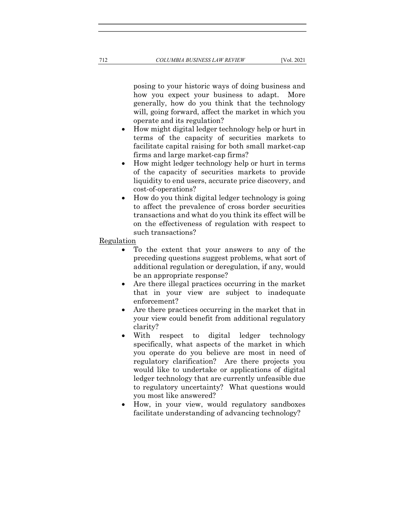posing to your historic ways of doing business and how you expect your business to adapt. More generally, how do you think that the technology will, going forward, affect the market in which you operate and its regulation?

- How might digital ledger technology help or hurt in terms of the capacity of securities markets to facilitate capital raising for both small market-cap firms and large market-cap firms?
- How might ledger technology help or hurt in terms of the capacity of securities markets to provide liquidity to end users, accurate price discovery, and cost-of-operations?
- How do you think digital ledger technology is going to affect the prevalence of cross border securities transactions and what do you think its effect will be on the effectiveness of regulation with respect to such transactions?

#### Regulation

- To the extent that your answers to any of the preceding questions suggest problems, what sort of additional regulation or deregulation, if any, would be an appropriate response?
- Are there illegal practices occurring in the market that in your view are subject to inadequate enforcement?
- Are there practices occurring in the market that in your view could benefit from additional regulatory clarity?
- With respect to digital ledger technology specifically, what aspects of the market in which you operate do you believe are most in need of regulatory clarification? Are there projects you would like to undertake or applications of digital ledger technology that are currently unfeasible due to regulatory uncertainty? What questions would you most like answered?
- How, in your view, would regulatory sandboxes facilitate understanding of advancing technology?